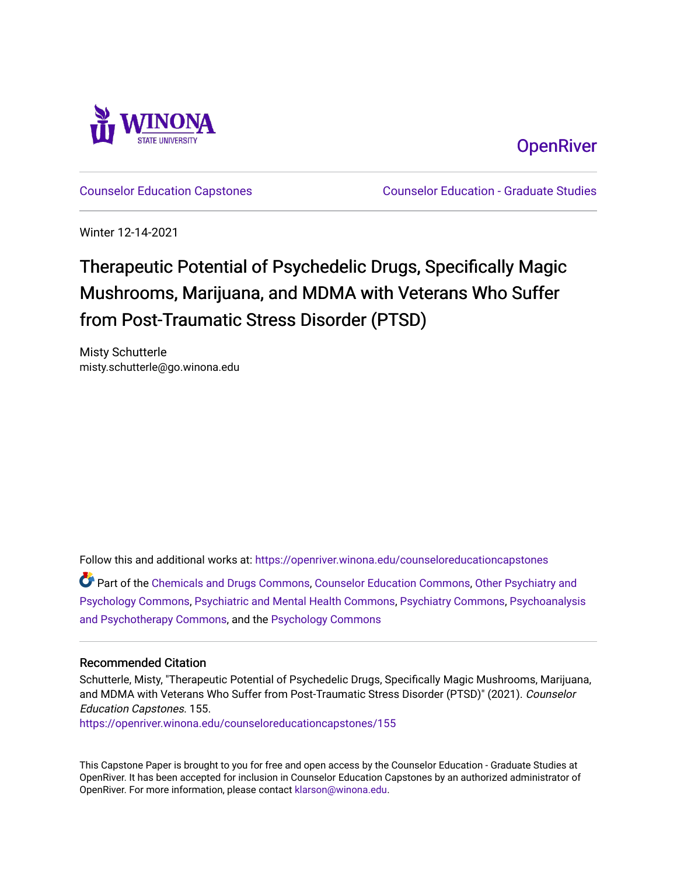

**OpenRiver** 

[Counselor Education Capstones](https://openriver.winona.edu/counseloreducationcapstones) [Counselor Education - Graduate Studies](https://openriver.winona.edu/counseloreducation) 

Winter 12-14-2021

# Therapeutic Potential of Psychedelic Drugs, Specifically Magic Mushrooms, Marijuana, and MDMA with Veterans Who Suffer from Post-Traumatic Stress Disorder (PTSD)

Misty Schutterle misty.schutterle@go.winona.edu

Follow this and additional works at: [https://openriver.winona.edu/counseloreducationcapstones](https://openriver.winona.edu/counseloreducationcapstones?utm_source=openriver.winona.edu%2Fcounseloreducationcapstones%2F155&utm_medium=PDF&utm_campaign=PDFCoverPages)

Part of the [Chemicals and Drugs Commons](http://network.bepress.com/hgg/discipline/902?utm_source=openriver.winona.edu%2Fcounseloreducationcapstones%2F155&utm_medium=PDF&utm_campaign=PDFCoverPages), [Counselor Education Commons](http://network.bepress.com/hgg/discipline/1278?utm_source=openriver.winona.edu%2Fcounseloreducationcapstones%2F155&utm_medium=PDF&utm_campaign=PDFCoverPages), [Other Psychiatry and](http://network.bepress.com/hgg/discipline/992?utm_source=openriver.winona.edu%2Fcounseloreducationcapstones%2F155&utm_medium=PDF&utm_campaign=PDFCoverPages)  [Psychology Commons,](http://network.bepress.com/hgg/discipline/992?utm_source=openriver.winona.edu%2Fcounseloreducationcapstones%2F155&utm_medium=PDF&utm_campaign=PDFCoverPages) [Psychiatric and Mental Health Commons](http://network.bepress.com/hgg/discipline/711?utm_source=openriver.winona.edu%2Fcounseloreducationcapstones%2F155&utm_medium=PDF&utm_campaign=PDFCoverPages), [Psychiatry Commons,](http://network.bepress.com/hgg/discipline/704?utm_source=openriver.winona.edu%2Fcounseloreducationcapstones%2F155&utm_medium=PDF&utm_campaign=PDFCoverPages) [Psychoanalysis](http://network.bepress.com/hgg/discipline/716?utm_source=openriver.winona.edu%2Fcounseloreducationcapstones%2F155&utm_medium=PDF&utm_campaign=PDFCoverPages)  [and Psychotherapy Commons](http://network.bepress.com/hgg/discipline/716?utm_source=openriver.winona.edu%2Fcounseloreducationcapstones%2F155&utm_medium=PDF&utm_campaign=PDFCoverPages), and the [Psychology Commons](http://network.bepress.com/hgg/discipline/404?utm_source=openriver.winona.edu%2Fcounseloreducationcapstones%2F155&utm_medium=PDF&utm_campaign=PDFCoverPages) 

#### Recommended Citation

Schutterle, Misty, "Therapeutic Potential of Psychedelic Drugs, Specifically Magic Mushrooms, Marijuana, and MDMA with Veterans Who Suffer from Post-Traumatic Stress Disorder (PTSD)" (2021). Counselor Education Capstones. 155.

[https://openriver.winona.edu/counseloreducationcapstones/155](https://openriver.winona.edu/counseloreducationcapstones/155?utm_source=openriver.winona.edu%2Fcounseloreducationcapstones%2F155&utm_medium=PDF&utm_campaign=PDFCoverPages)

This Capstone Paper is brought to you for free and open access by the Counselor Education - Graduate Studies at OpenRiver. It has been accepted for inclusion in Counselor Education Capstones by an authorized administrator of OpenRiver. For more information, please contact [klarson@winona.edu](mailto:klarson@winona.edu).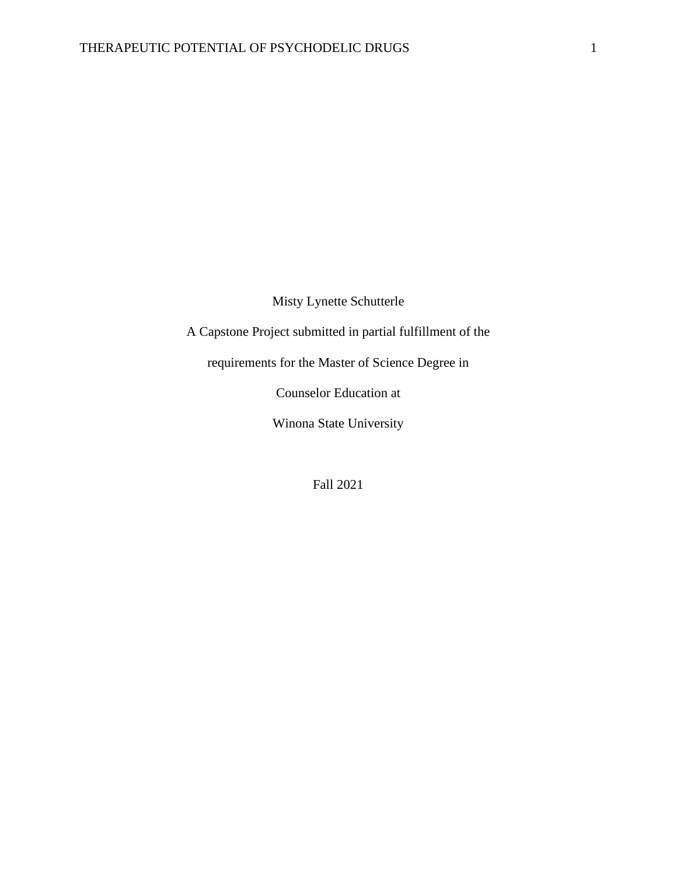Misty Lynette Schutterle

A Capstone Project submitted in partial fulfillment of the

requirements for the Master of Science Degree in

Counselor Education at

Winona State University

Fall 2021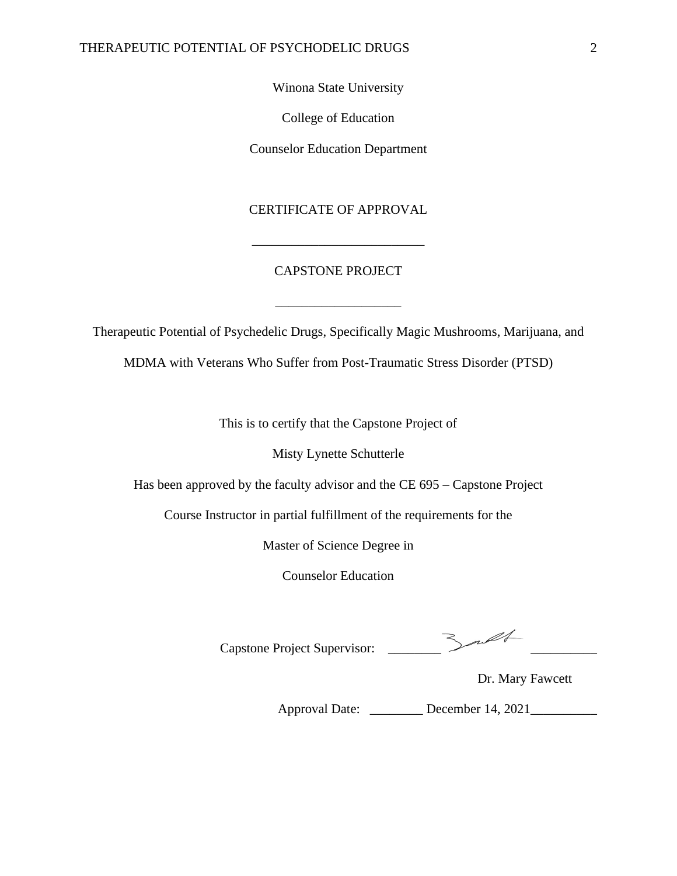Winona State University

College of Education

Counselor Education Department

#### CERTIFICATE OF APPROVAL

#### CAPSTONE PROJECT

\_\_\_\_\_\_\_\_\_\_\_\_\_\_\_\_\_\_\_

\_\_\_\_\_\_\_\_\_\_\_\_\_\_\_\_\_\_\_\_\_\_\_\_\_\_

Therapeutic Potential of Psychedelic Drugs, Specifically Magic Mushrooms, Marijuana, and MDMA with Veterans Who Suffer from Post-Traumatic Stress Disorder (PTSD)

This is to certify that the Capstone Project of

Misty Lynette Schutterle

Has been approved by the faculty advisor and the CE 695 – Capstone Project

Course Instructor in partial fulfillment of the requirements for the

Master of Science Degree in

Counselor Education

Capstone Project Supervisor: \_\_\_\_\_\_\_\_ \_\_\_\_\_\_\_\_\_\_

Dr. Mary Fawcett

Approval Date: \_\_\_\_\_\_\_\_ December 14, 2021\_\_\_\_\_\_\_\_\_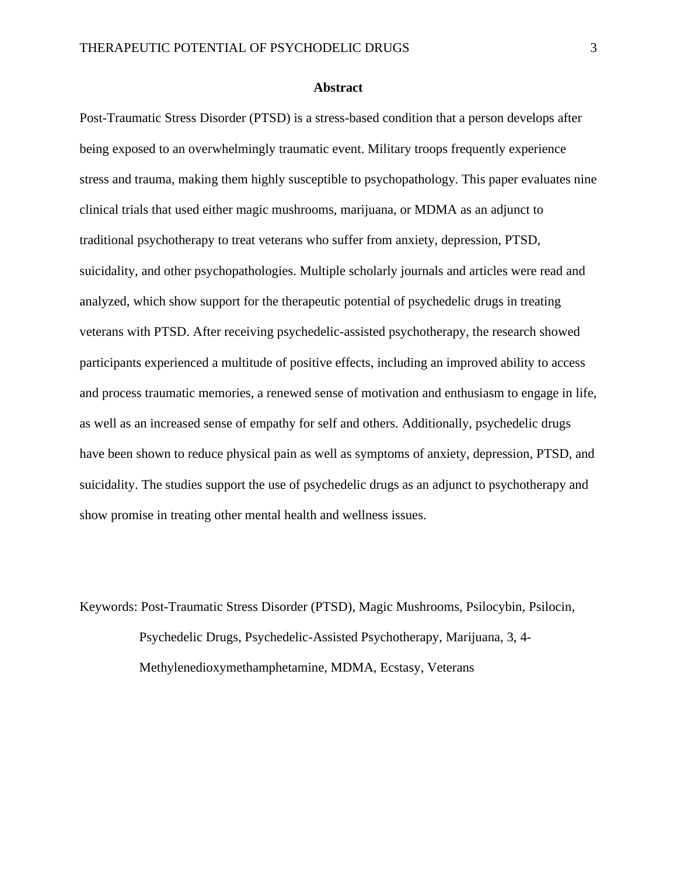#### **Abstract**

Post-Traumatic Stress Disorder (PTSD) is a stress-based condition that a person develops after being exposed to an overwhelmingly traumatic event. Military troops frequently experience stress and trauma, making them highly susceptible to psychopathology. This paper evaluates nine clinical trials that used either magic mushrooms, marijuana, or MDMA as an adjunct to traditional psychotherapy to treat veterans who suffer from anxiety, depression, PTSD, suicidality, and other psychopathologies. Multiple scholarly journals and articles were read and analyzed, which show support for the therapeutic potential of psychedelic drugs in treating veterans with PTSD. After receiving psychedelic-assisted psychotherapy, the research showed participants experienced a multitude of positive effects, including an improved ability to access and process traumatic memories, a renewed sense of motivation and enthusiasm to engage in life, as well as an increased sense of empathy for self and others. Additionally, psychedelic drugs have been shown to reduce physical pain as well as symptoms of anxiety, depression, PTSD, and suicidality. The studies support the use of psychedelic drugs as an adjunct to psychotherapy and show promise in treating other mental health and wellness issues.

Keywords: Post-Traumatic Stress Disorder (PTSD), Magic Mushrooms, Psilocybin, Psilocin, Psychedelic Drugs, Psychedelic-Assisted Psychotherapy, Marijuana, 3, 4- Methylenedioxymethamphetamine, MDMA, Ecstasy, Veterans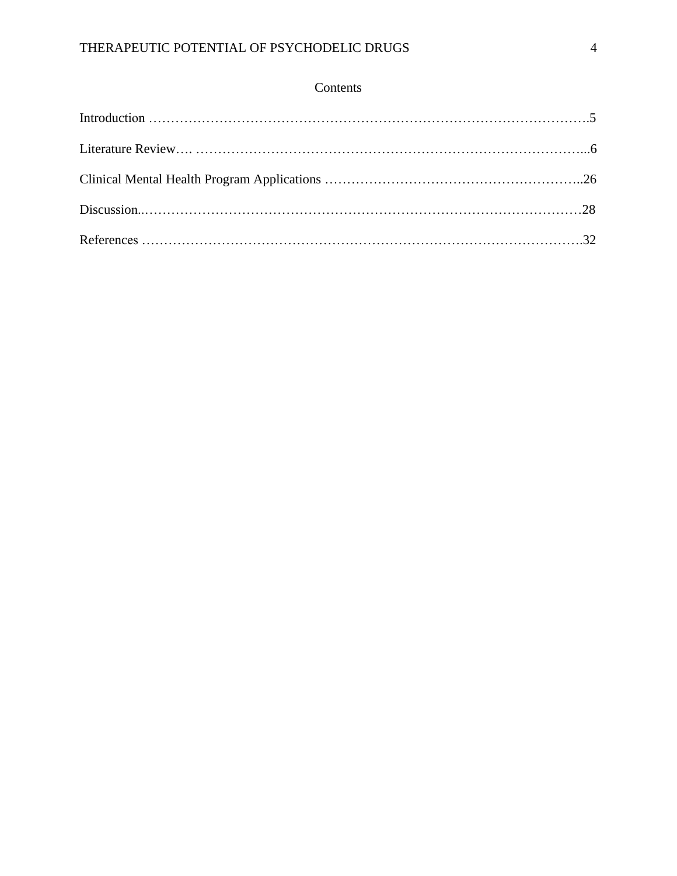### Contents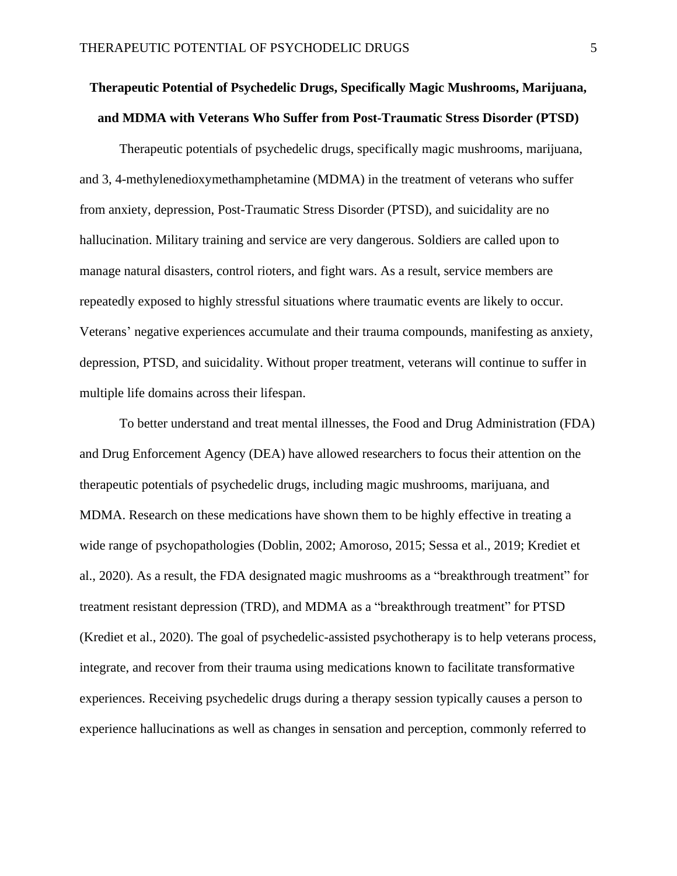## **Therapeutic Potential of Psychedelic Drugs, Specifically Magic Mushrooms, Marijuana, and MDMA with Veterans Who Suffer from Post-Traumatic Stress Disorder (PTSD)**

Therapeutic potentials of psychedelic drugs, specifically magic mushrooms, marijuana, and 3, 4-methylenedioxymethamphetamine (MDMA) in the treatment of veterans who suffer from anxiety, depression, Post-Traumatic Stress Disorder (PTSD), and suicidality are no hallucination. Military training and service are very dangerous. Soldiers are called upon to manage natural disasters, control rioters, and fight wars. As a result, service members are repeatedly exposed to highly stressful situations where traumatic events are likely to occur. Veterans' negative experiences accumulate and their trauma compounds, manifesting as anxiety, depression, PTSD, and suicidality. Without proper treatment, veterans will continue to suffer in multiple life domains across their lifespan.

To better understand and treat mental illnesses, the Food and Drug Administration (FDA) and Drug Enforcement Agency (DEA) have allowed researchers to focus their attention on the therapeutic potentials of psychedelic drugs, including magic mushrooms, marijuana, and MDMA. Research on these medications have shown them to be highly effective in treating a wide range of psychopathologies (Doblin, 2002; Amoroso, 2015; Sessa et al., 2019; Krediet et al., 2020). As a result, the FDA designated magic mushrooms as a "breakthrough treatment" for treatment resistant depression (TRD), and MDMA as a "breakthrough treatment" for PTSD (Krediet et al., 2020). The goal of psychedelic-assisted psychotherapy is to help veterans process, integrate, and recover from their trauma using medications known to facilitate transformative experiences. Receiving psychedelic drugs during a therapy session typically causes a person to experience hallucinations as well as changes in sensation and perception, commonly referred to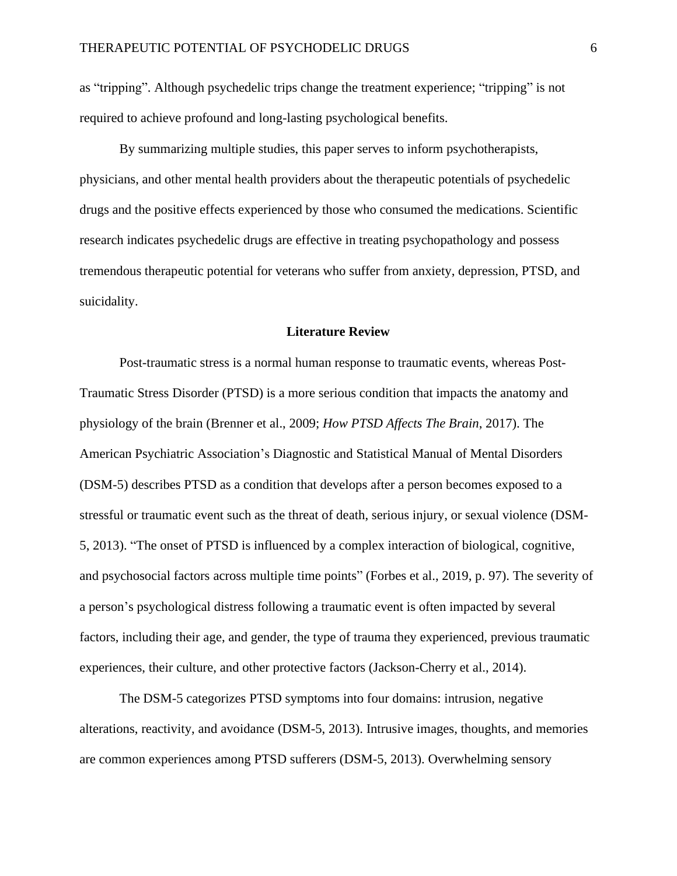as "tripping". Although psychedelic trips change the treatment experience; "tripping" is not required to achieve profound and long-lasting psychological benefits.

By summarizing multiple studies, this paper serves to inform psychotherapists, physicians, and other mental health providers about the therapeutic potentials of psychedelic drugs and the positive effects experienced by those who consumed the medications. Scientific research indicates psychedelic drugs are effective in treating psychopathology and possess tremendous therapeutic potential for veterans who suffer from anxiety, depression, PTSD, and suicidality.

#### **Literature Review**

Post-traumatic stress is a normal human response to traumatic events, whereas Post-Traumatic Stress Disorder (PTSD) is a more serious condition that impacts the anatomy and physiology of the brain (Brenner et al., 2009; *How PTSD Affects The Brain*, 2017). The American Psychiatric Association's Diagnostic and Statistical Manual of Mental Disorders (DSM-5) describes PTSD as a condition that develops after a person becomes exposed to a stressful or traumatic event such as the threat of death, serious injury, or sexual violence (DSM-5, 2013). "The onset of PTSD is influenced by a complex interaction of biological, cognitive, and psychosocial factors across multiple time points" (Forbes et al., 2019, p. 97). The severity of a person's psychological distress following a traumatic event is often impacted by several factors, including their age, and gender, the type of trauma they experienced, previous traumatic experiences, their culture, and other protective factors (Jackson-Cherry et al., 2014).

The DSM-5 categorizes PTSD symptoms into four domains: intrusion, negative alterations, reactivity, and avoidance (DSM-5, 2013). Intrusive images, thoughts, and memories are common experiences among PTSD sufferers (DSM-5, 2013). Overwhelming sensory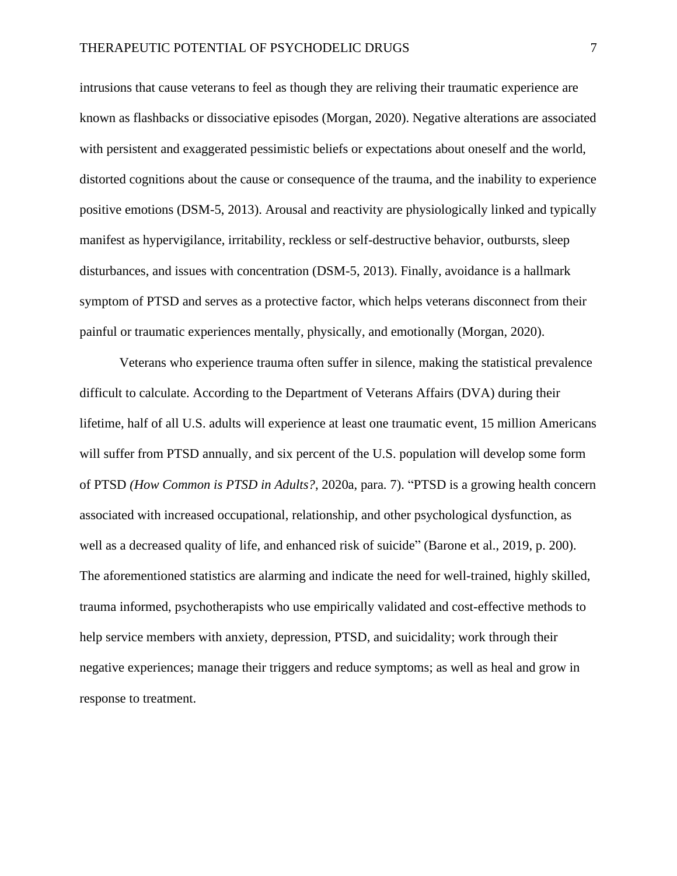intrusions that cause veterans to feel as though they are reliving their traumatic experience are known as flashbacks or dissociative episodes (Morgan, 2020). Negative alterations are associated with persistent and exaggerated pessimistic beliefs or expectations about oneself and the world, distorted cognitions about the cause or consequence of the trauma, and the inability to experience positive emotions (DSM-5, 2013). Arousal and reactivity are physiologically linked and typically manifest as hypervigilance, irritability, reckless or self-destructive behavior, outbursts, sleep disturbances, and issues with concentration (DSM-5, 2013). Finally, avoidance is a hallmark symptom of PTSD and serves as a protective factor, which helps veterans disconnect from their painful or traumatic experiences mentally, physically, and emotionally (Morgan, 2020).

Veterans who experience trauma often suffer in silence, making the statistical prevalence difficult to calculate. According to the Department of Veterans Affairs (DVA) during their lifetime, half of all U.S. adults will experience at least one traumatic event, 15 million Americans will suffer from PTSD annually, and six percent of the U.S. population will develop some form of PTSD *(How Common is PTSD in Adults?*, 2020a, para. 7). "PTSD is a growing health concern associated with increased occupational, relationship, and other psychological dysfunction, as well as a decreased quality of life, and enhanced risk of suicide" (Barone et al., 2019, p. 200). The aforementioned statistics are alarming and indicate the need for well-trained, highly skilled, trauma informed, psychotherapists who use empirically validated and cost-effective methods to help service members with anxiety, depression, PTSD, and suicidality; work through their negative experiences; manage their triggers and reduce symptoms; as well as heal and grow in response to treatment.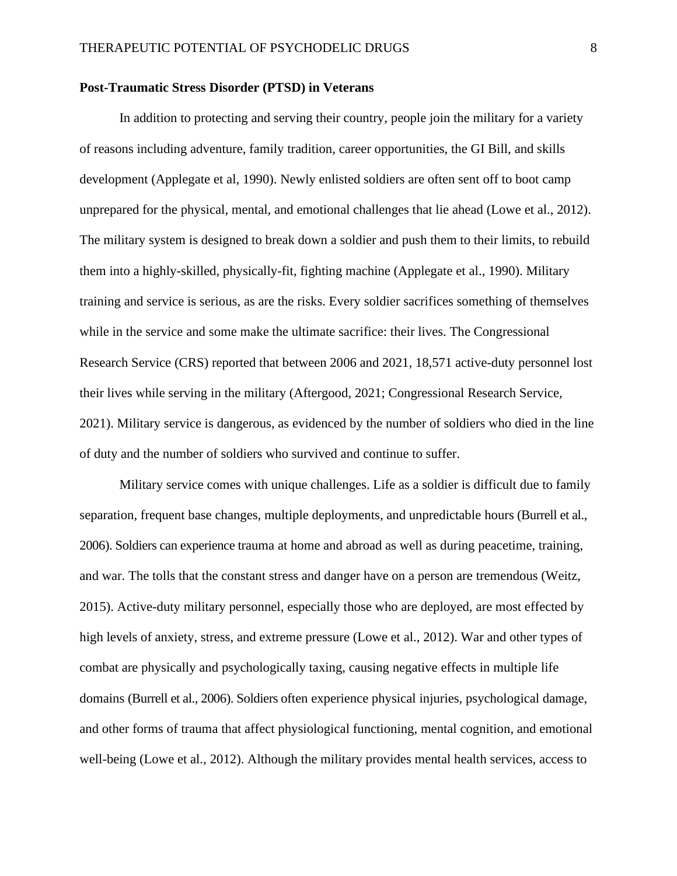#### **Post-Traumatic Stress Disorder (PTSD) in Veterans**

In addition to protecting and serving their country, people join the military for a variety of reasons including adventure, family tradition, career opportunities, the GI Bill, and skills development (Applegate et al, 1990). Newly enlisted soldiers are often sent off to boot camp unprepared for the physical, mental, and emotional challenges that lie ahead (Lowe et al., 2012). The military system is designed to break down a soldier and push them to their limits, to rebuild them into a highly-skilled, physically-fit, fighting machine (Applegate et al., 1990). Military training and service is serious, as are the risks. Every soldier sacrifices something of themselves while in the service and some make the ultimate sacrifice: their lives. The Congressional Research Service (CRS) reported that between 2006 and 2021, 18,571 active-duty personnel lost their lives while serving in the military (Aftergood, 2021; Congressional Research Service, 2021). Military service is dangerous, as evidenced by the number of soldiers who died in the line of duty and the number of soldiers who survived and continue to suffer.

Military service comes with unique challenges. Life as a soldier is difficult due to family separation, frequent base changes, multiple deployments, and unpredictable hours (Burrell et al., 2006). Soldiers can experience trauma at home and abroad as well as during peacetime, training, and war. The tolls that the constant stress and danger have on a person are tremendous (Weitz, 2015). Active-duty military personnel, especially those who are deployed, are most effected by high levels of anxiety, stress, and extreme pressure (Lowe et al., 2012). War and other types of combat are physically and psychologically taxing, causing negative effects in multiple life domains (Burrell et al., 2006). Soldiers often experience physical injuries, psychological damage, and other forms of trauma that affect physiological functioning, mental cognition, and emotional well-being (Lowe et al., 2012). Although the military provides mental health services, access to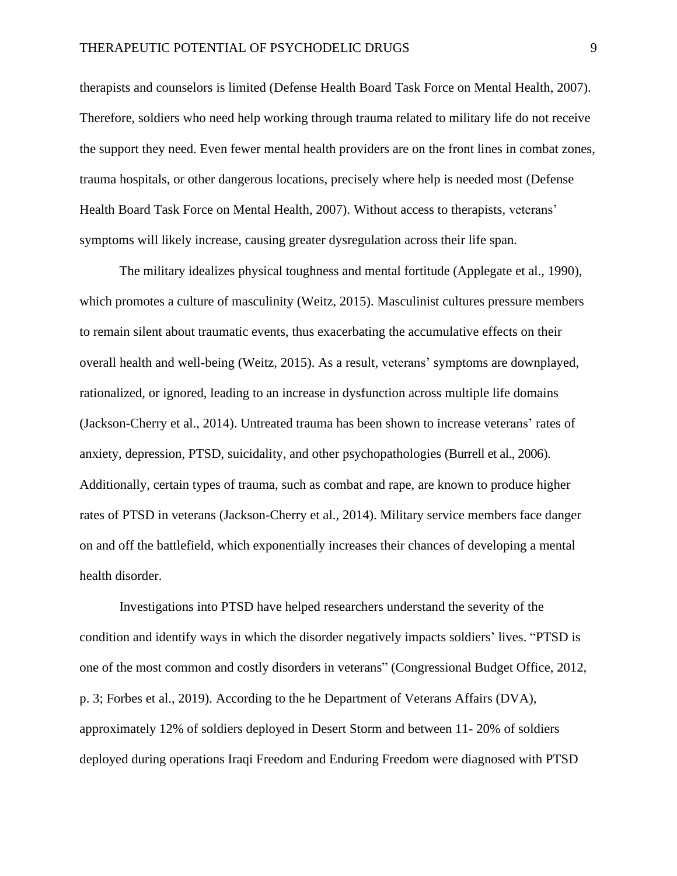therapists and counselors is limited (Defense Health Board Task Force on Mental Health, 2007). Therefore, soldiers who need help working through trauma related to military life do not receive the support they need. Even fewer mental health providers are on the front lines in combat zones, trauma hospitals, or other dangerous locations, precisely where help is needed most (Defense Health Board Task Force on Mental Health, 2007). Without access to therapists, veterans' symptoms will likely increase, causing greater dysregulation across their life span.

The military idealizes physical toughness and mental fortitude (Applegate et al., 1990), which promotes a culture of masculinity (Weitz, 2015). Masculinist cultures pressure members to remain silent about traumatic events, thus exacerbating the accumulative effects on their overall health and well-being (Weitz, 2015). As a result, veterans' symptoms are downplayed, rationalized, or ignored, leading to an increase in dysfunction across multiple life domains (Jackson-Cherry et al., 2014). Untreated trauma has been shown to increase veterans' rates of anxiety, depression, PTSD, suicidality, and other psychopathologies (Burrell et al., 2006). Additionally, certain types of trauma, such as combat and rape, are known to produce higher rates of PTSD in veterans (Jackson-Cherry et al., 2014). Military service members face danger on and off the battlefield, which exponentially increases their chances of developing a mental health disorder.

Investigations into PTSD have helped researchers understand the severity of the condition and identify ways in which the disorder negatively impacts soldiers' lives. "PTSD is one of the most common and costly disorders in veterans" (Congressional Budget Office, 2012, p. 3; Forbes et al., 2019). According to the he Department of Veterans Affairs (DVA), approximately 12% of soldiers deployed in Desert Storm and between 11- 20% of soldiers deployed during operations Iraqi Freedom and Enduring Freedom were diagnosed with PTSD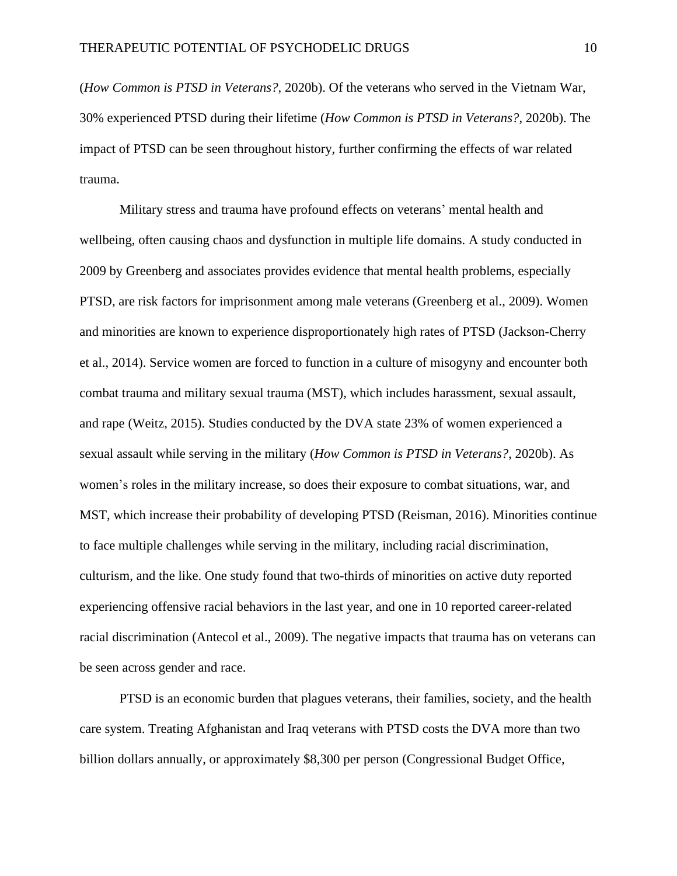(*How Common is PTSD in Veterans?*, 2020b). Of the veterans who served in the Vietnam War, 30% experienced PTSD during their lifetime (*How Common is PTSD in Veterans?*, 2020b). The impact of PTSD can be seen throughout history, further confirming the effects of war related trauma.

Military stress and trauma have profound effects on veterans' mental health and wellbeing, often causing chaos and dysfunction in multiple life domains. A study conducted in 2009 by Greenberg and associates provides evidence that mental health problems, especially PTSD, are risk factors for imprisonment among male veterans (Greenberg et al., 2009). Women and minorities are known to experience disproportionately high rates of PTSD (Jackson-Cherry et al., 2014). Service women are forced to function in a culture of misogyny and encounter both combat trauma and military sexual trauma (MST), which includes harassment, sexual assault, and rape (Weitz, 2015). Studies conducted by the DVA state 23% of women experienced a sexual assault while serving in the military (*How Common is PTSD in Veterans?*, 2020b). As women's roles in the military increase, so does their exposure to combat situations, war, and MST, which increase their probability of developing PTSD (Reisman, 2016). Minorities continue to face multiple challenges while serving in the military, including racial discrimination, culturism, and the like. One study found that two-thirds of minorities on active duty reported experiencing offensive racial behaviors in the last year, and one in 10 reported career-related racial discrimination (Antecol et al., 2009). The negative impacts that trauma has on veterans can be seen across gender and race.

PTSD is an economic burden that plagues veterans, their families, society, and the health care system. Treating Afghanistan and Iraq veterans with PTSD costs the DVA more than two billion dollars annually, or approximately \$8,300 per person (Congressional Budget Office,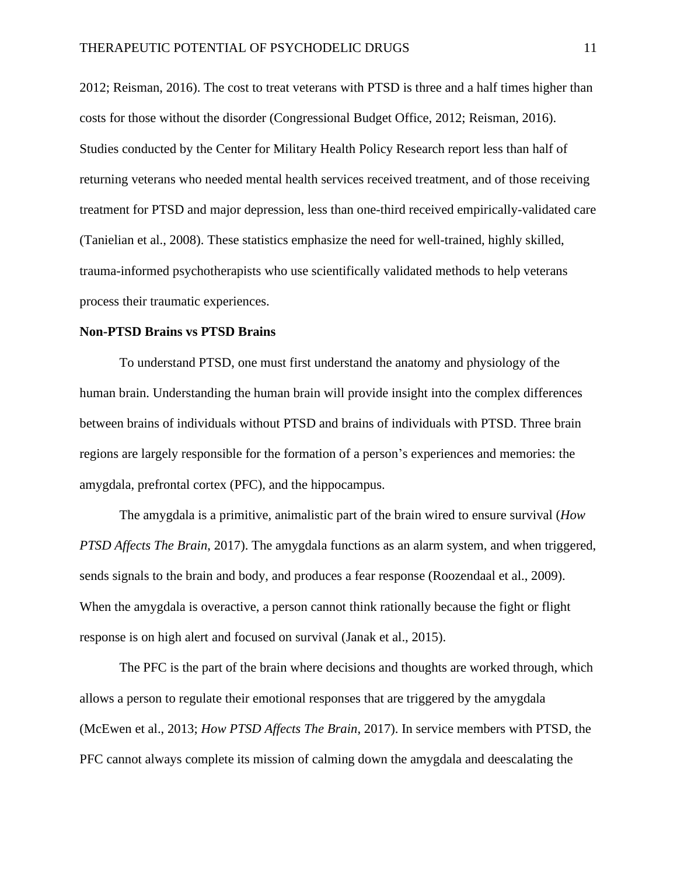2012; Reisman, 2016). The cost to treat veterans with PTSD is three and a half times higher than costs for those without the disorder (Congressional Budget Office, 2012; Reisman, 2016). Studies conducted by the Center for Military Health Policy Research report less than half of returning veterans who needed mental health services received treatment, and of those receiving treatment for PTSD and major depression, less than one-third received empirically-validated care (Tanielian et al., 2008). These statistics emphasize the need for well-trained, highly skilled, trauma-informed psychotherapists who use scientifically validated methods to help veterans process their traumatic experiences.

#### **Non-PTSD Brains vs PTSD Brains**

To understand PTSD, one must first understand the anatomy and physiology of the human brain. Understanding the human brain will provide insight into the complex differences between brains of individuals without PTSD and brains of individuals with PTSD. Three brain regions are largely responsible for the formation of a person's experiences and memories: the amygdala, prefrontal cortex (PFC), and the hippocampus.

The amygdala is a primitive, animalistic part of the brain wired to ensure survival (*How PTSD Affects The Brain*, 2017). The amygdala functions as an alarm system, and when triggered, sends signals to the brain and body, and produces a fear response (Roozendaal et al., 2009). When the amygdala is overactive, a person cannot think rationally because the fight or flight response is on high alert and focused on survival (Janak et al., 2015).

The PFC is the part of the brain where decisions and thoughts are worked through, which allows a person to regulate their emotional responses that are triggered by the amygdala (McEwen et al., 2013; *How PTSD Affects The Brain*, 2017). In service members with PTSD, the PFC cannot always complete its mission of calming down the amygdala and deescalating the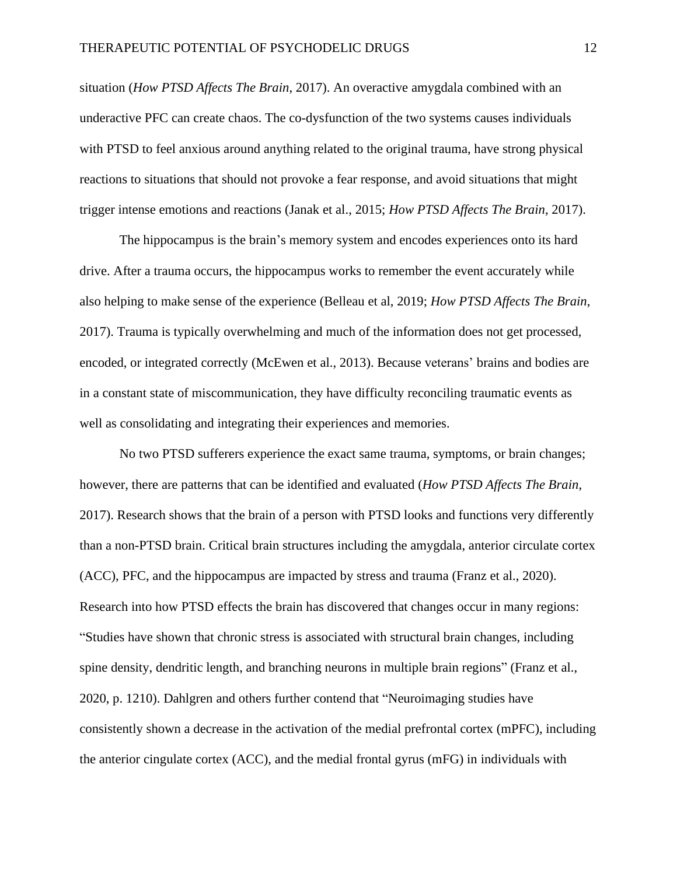situation (*How PTSD Affects The Brain*, 2017). An overactive amygdala combined with an underactive PFC can create chaos. The co-dysfunction of the two systems causes individuals with PTSD to feel anxious around anything related to the original trauma, have strong physical reactions to situations that should not provoke a fear response, and avoid situations that might trigger intense emotions and reactions (Janak et al., 2015; *How PTSD Affects The Brain*, 2017).

The hippocampus is the brain's memory system and encodes experiences onto its hard drive. After a trauma occurs, the hippocampus works to remember the event accurately while also helping to make sense of the experience (Belleau et al, 2019; *How PTSD Affects The Brain*, 2017). Trauma is typically overwhelming and much of the information does not get processed, encoded, or integrated correctly (McEwen et al., 2013). Because veterans' brains and bodies are in a constant state of miscommunication, they have difficulty reconciling traumatic events as well as consolidating and integrating their experiences and memories.

No two PTSD sufferers experience the exact same trauma, symptoms, or brain changes; however, there are patterns that can be identified and evaluated (*How PTSD Affects The Brain*, 2017). Research shows that the brain of a person with PTSD looks and functions very differently than a non-PTSD brain. Critical brain structures including the amygdala, anterior circulate cortex (ACC), PFC, and the hippocampus are impacted by stress and trauma (Franz et al., 2020). Research into how PTSD effects the brain has discovered that changes occur in many regions: "Studies have shown that chronic stress is associated with structural brain changes, including spine density, dendritic length, and branching neurons in multiple brain regions" (Franz et al., 2020, p. 1210). Dahlgren and others further contend that "Neuroimaging studies have consistently shown a decrease in the activation of the medial prefrontal cortex (mPFC), including the anterior cingulate cortex (ACC), and the medial frontal gyrus (mFG) in individuals with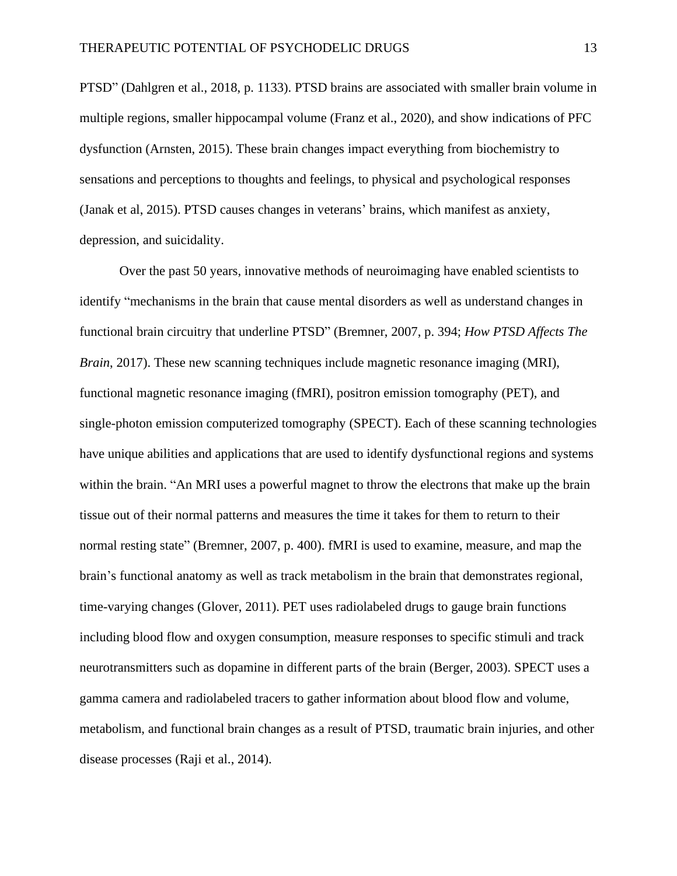PTSD" (Dahlgren et al., 2018, p. 1133). PTSD brains are associated with smaller brain volume in multiple regions, smaller hippocampal volume (Franz et al., 2020), and show indications of PFC dysfunction (Arnsten, 2015). These brain changes impact everything from biochemistry to sensations and perceptions to thoughts and feelings, to physical and psychological responses (Janak et al, 2015). PTSD causes changes in veterans' brains, which manifest as anxiety, depression, and suicidality.

Over the past 50 years, innovative methods of neuroimaging have enabled scientists to identify "mechanisms in the brain that cause mental disorders as well as understand changes in functional brain circuitry that underline PTSD" (Bremner, 2007, p. 394; *How PTSD Affects The Brain*, 2017). These new scanning techniques include magnetic resonance imaging (MRI), functional magnetic resonance imaging (fMRI), positron emission tomography (PET), and single-photon emission computerized tomography (SPECT). Each of these scanning technologies have unique abilities and applications that are used to identify dysfunctional regions and systems within the brain. "An MRI uses a powerful magnet to throw the electrons that make up the brain tissue out of their normal patterns and measures the time it takes for them to return to their normal resting state" (Bremner, 2007, p. 400). fMRI is used to examine, measure, and map the brain's functional anatomy as well as track metabolism in the brain that demonstrates regional, time-varying changes (Glover, 2011). PET uses radiolabeled drugs to gauge brain functions including blood flow and oxygen consumption, measure responses to specific stimuli and track neurotransmitters such as dopamine in different parts of the brain (Berger, 2003). SPECT uses a gamma camera and radiolabeled tracers to gather information about blood flow and volume, metabolism, and functional brain changes as a result of PTSD, traumatic brain injuries, and other disease processes (Raji et al., 2014).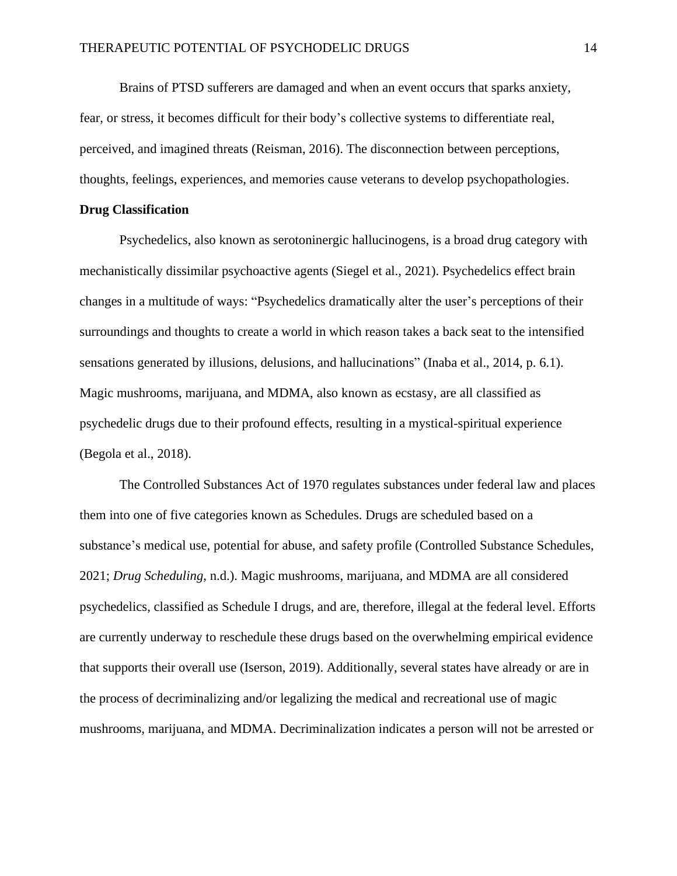Brains of PTSD sufferers are damaged and when an event occurs that sparks anxiety, fear, or stress, it becomes difficult for their body's collective systems to differentiate real, perceived, and imagined threats (Reisman, 2016). The disconnection between perceptions, thoughts, feelings, experiences, and memories cause veterans to develop psychopathologies.

#### **Drug Classification**

Psychedelics, also known as serotoninergic hallucinogens, is a broad drug category with mechanistically dissimilar psychoactive agents (Siegel et al., 2021). Psychedelics effect brain changes in a multitude of ways: "Psychedelics dramatically alter the user's perceptions of their surroundings and thoughts to create a world in which reason takes a back seat to the intensified sensations generated by illusions, delusions, and hallucinations" (Inaba et al., 2014, p. 6.1). Magic mushrooms, marijuana, and MDMA, also known as ecstasy, are all classified as psychedelic drugs due to their profound effects, resulting in a mystical-spiritual experience (Begola et al., 2018).

The Controlled Substances Act of 1970 regulates substances under federal law and places them into one of five categories known as Schedules. Drugs are scheduled based on a substance's medical use, potential for abuse, and safety profile (Controlled Substance Schedules, 2021; *Drug Scheduling*, n.d.). Magic mushrooms, marijuana, and MDMA are all considered psychedelics, classified as Schedule I drugs, and are, therefore, illegal at the federal level. Efforts are currently underway to reschedule these drugs based on the overwhelming empirical evidence that supports their overall use (Iserson, 2019). Additionally, several states have already or are in the process of decriminalizing and/or legalizing the medical and recreational use of magic mushrooms, marijuana, and MDMA. Decriminalization indicates a person will not be arrested or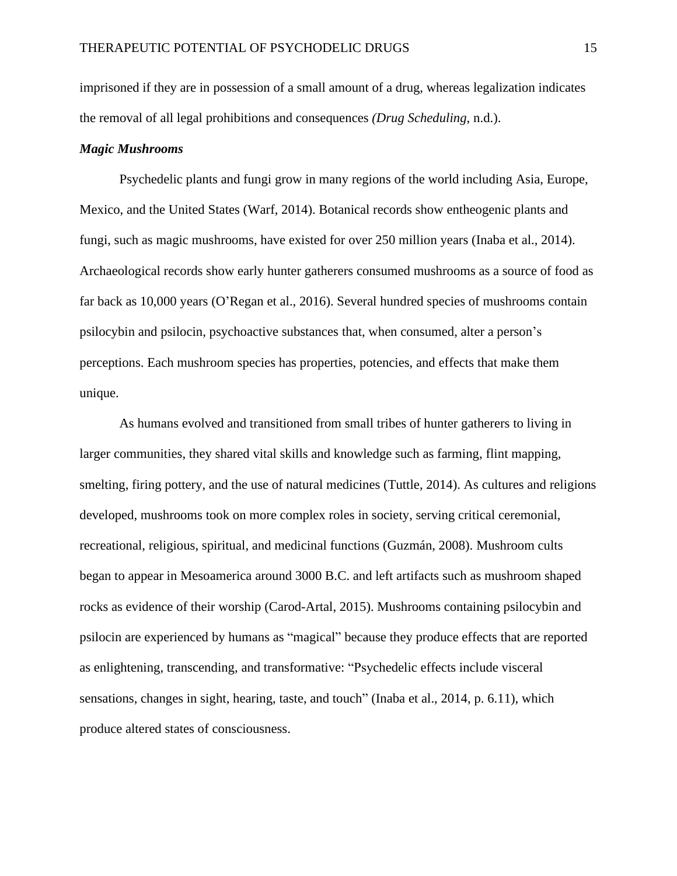imprisoned if they are in possession of a small amount of a drug, whereas legalization indicates the removal of all legal prohibitions and consequences *(Drug Scheduling*, n.d.).

#### *Magic Mushrooms*

Psychedelic plants and fungi grow in many regions of the world including Asia, Europe, Mexico, and the United States (Warf, 2014). Botanical records show entheogenic plants and fungi, such as magic mushrooms, have existed for over 250 million years (Inaba et al., 2014). Archaeological records show early hunter gatherers consumed mushrooms as a source of food as far back as 10,000 years (O'Regan et al., 2016). Several hundred species of mushrooms contain psilocybin and psilocin, psychoactive substances that, when consumed, alter a person's perceptions. Each mushroom species has properties, potencies, and effects that make them unique.

As humans evolved and transitioned from small tribes of hunter gatherers to living in larger communities, they shared vital skills and knowledge such as farming, flint mapping, smelting, firing pottery, and the use of natural medicines (Tuttle, 2014). As cultures and religions developed, mushrooms took on more complex roles in society, serving critical ceremonial, recreational, religious, spiritual, and medicinal functions (Guzmán, 2008). Mushroom cults began to appear in Mesoamerica around 3000 B.C. and left artifacts such as mushroom shaped rocks as evidence of their worship (Carod-Artal, 2015). Mushrooms containing psilocybin and psilocin are experienced by humans as "magical" because they produce effects that are reported as enlightening, transcending, and transformative: "Psychedelic effects include visceral sensations, changes in sight, hearing, taste, and touch" (Inaba et al., 2014, p. 6.11), which produce altered states of consciousness.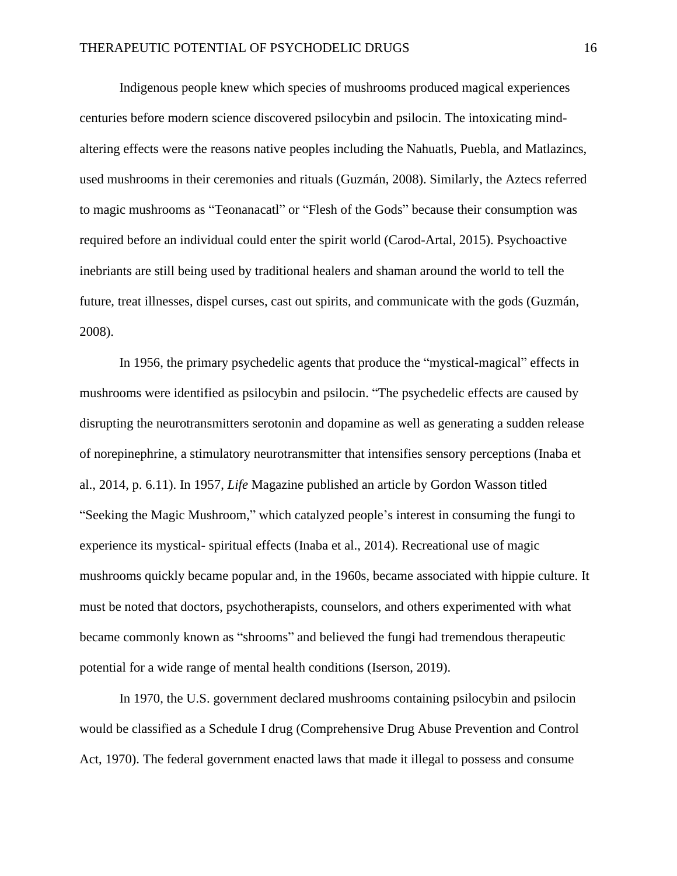Indigenous people knew which species of mushrooms produced magical experiences centuries before modern science discovered psilocybin and psilocin. The intoxicating mindaltering effects were the reasons native peoples including the Nahuatls, Puebla, and Matlazincs, used mushrooms in their ceremonies and rituals (Guzmán, 2008). Similarly, the Aztecs referred to magic mushrooms as "Teonanacatl" or "Flesh of the Gods" because their consumption was required before an individual could enter the spirit world (Carod-Artal, 2015). Psychoactive inebriants are still being used by traditional healers and shaman around the world to tell the future, treat illnesses, dispel curses, cast out spirits, and communicate with the gods (Guzmán, 2008).

In 1956, the primary psychedelic agents that produce the "mystical-magical" effects in mushrooms were identified as psilocybin and psilocin. "The psychedelic effects are caused by disrupting the neurotransmitters serotonin and dopamine as well as generating a sudden release of norepinephrine, a stimulatory neurotransmitter that intensifies sensory perceptions (Inaba et al., 2014, p. 6.11). In 1957, *Life* Magazine published an article by Gordon Wasson titled "Seeking the Magic Mushroom," which catalyzed people's interest in consuming the fungi to experience its mystical- spiritual effects (Inaba et al., 2014). Recreational use of magic mushrooms quickly became popular and, in the 1960s, became associated with hippie culture. It must be noted that doctors, psychotherapists, counselors, and others experimented with what became commonly known as "shrooms" and believed the fungi had tremendous therapeutic potential for a wide range of mental health conditions (Iserson, 2019).

In 1970, the U.S. government declared mushrooms containing psilocybin and psilocin would be classified as a Schedule I drug (Comprehensive Drug Abuse Prevention and Control Act, 1970). The federal government enacted laws that made it illegal to possess and consume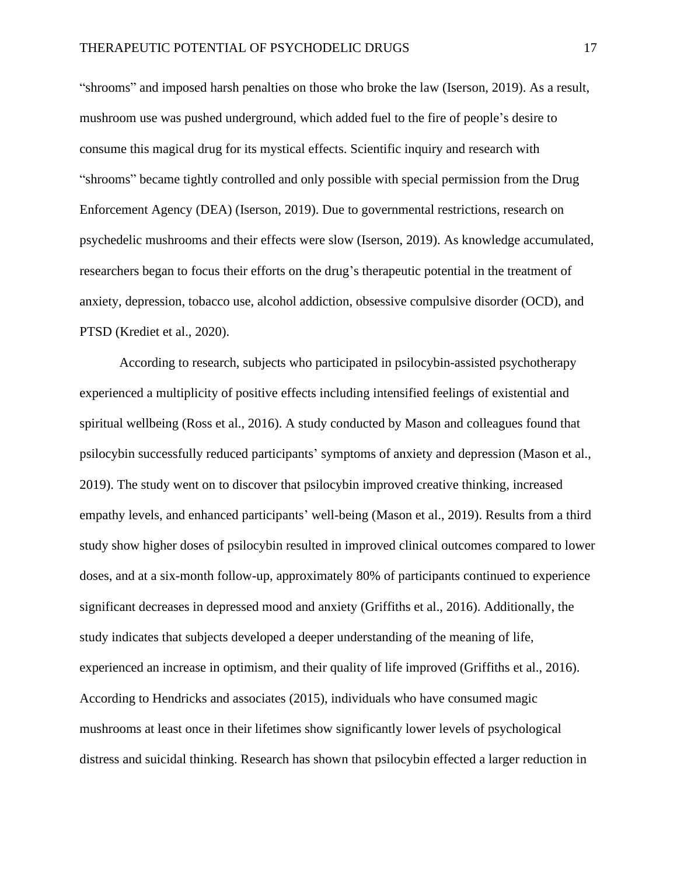"shrooms" and imposed harsh penalties on those who broke the law (Iserson, 2019). As a result, mushroom use was pushed underground, which added fuel to the fire of people's desire to consume this magical drug for its mystical effects. Scientific inquiry and research with "shrooms" became tightly controlled and only possible with special permission from the Drug Enforcement Agency (DEA) (Iserson, 2019). Due to governmental restrictions, research on psychedelic mushrooms and their effects were slow (Iserson, 2019). As knowledge accumulated, researchers began to focus their efforts on the drug's therapeutic potential in the treatment of anxiety, depression, tobacco use, alcohol addiction, obsessive compulsive disorder (OCD), and PTSD (Krediet et al., 2020).

According to research, subjects who participated in psilocybin-assisted psychotherapy experienced a multiplicity of positive effects including intensified feelings of existential and spiritual wellbeing (Ross et al., 2016). A study conducted by Mason and colleagues found that psilocybin successfully reduced participants' symptoms of anxiety and depression (Mason et al., 2019). The study went on to discover that psilocybin improved creative thinking, increased empathy levels, and enhanced participants' well-being (Mason et al., 2019). Results from a third study show higher doses of psilocybin resulted in improved clinical outcomes compared to lower doses, and at a six-month follow-up, approximately 80% of participants continued to experience significant decreases in depressed mood and anxiety (Griffiths et al., 2016). Additionally, the study indicates that subjects developed a deeper understanding of the meaning of life, experienced an increase in optimism, and their quality of life improved (Griffiths et al., 2016). According to Hendricks and associates (2015), individuals who have consumed magic mushrooms at least once in their lifetimes show significantly lower levels of psychological distress and suicidal thinking. Research has shown that psilocybin effected a larger reduction in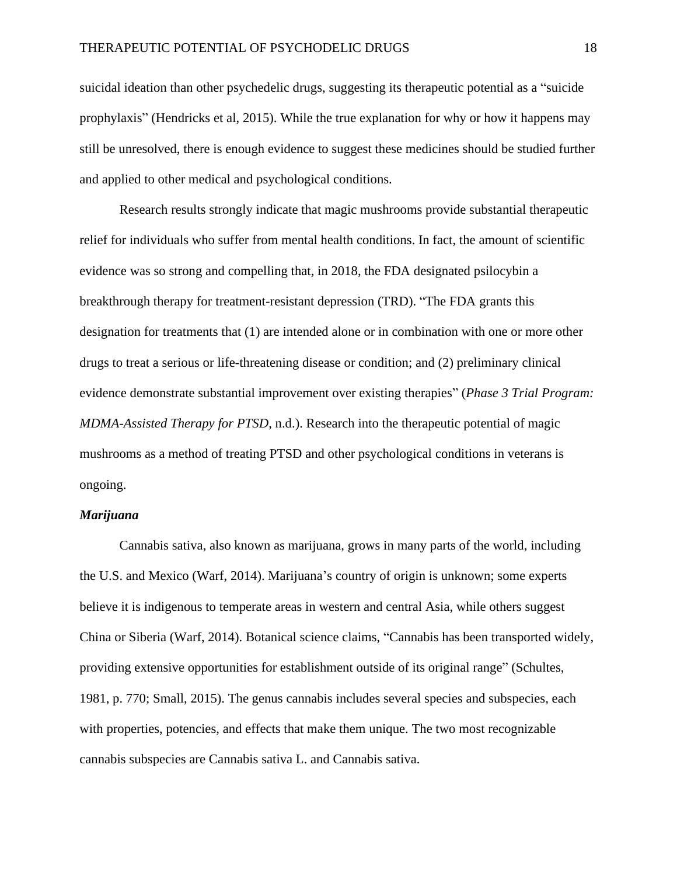suicidal ideation than other psychedelic drugs, suggesting its therapeutic potential as a "suicide prophylaxis" (Hendricks et al, 2015). While the true explanation for why or how it happens may still be unresolved, there is enough evidence to suggest these medicines should be studied further and applied to other medical and psychological conditions.

Research results strongly indicate that magic mushrooms provide substantial therapeutic relief for individuals who suffer from mental health conditions. In fact, the amount of scientific evidence was so strong and compelling that, in 2018, the FDA designated psilocybin a breakthrough therapy for treatment-resistant depression (TRD). "The FDA grants this designation for treatments that (1) are intended alone or in combination with one or more other drugs to treat a serious or life-threatening disease or condition; and (2) preliminary clinical evidence demonstrate substantial improvement over existing therapies" (*Phase 3 Trial Program: MDMA-Assisted Therapy for PTSD*, n.d.). Research into the therapeutic potential of magic mushrooms as a method of treating PTSD and other psychological conditions in veterans is ongoing.

#### *Marijuana*

Cannabis sativa, also known as marijuana, grows in many parts of the world, including the U.S. and Mexico (Warf, 2014). Marijuana's country of origin is unknown; some experts believe it is indigenous to temperate areas in western and central Asia, while others suggest China or Siberia (Warf, 2014). Botanical science claims, "Cannabis has been transported widely, providing extensive opportunities for establishment outside of its original range" (Schultes, 1981, p. 770; Small, 2015). The genus cannabis includes several species and subspecies, each with properties, potencies, and effects that make them unique. The two most recognizable cannabis subspecies are Cannabis sativa L. and Cannabis sativa.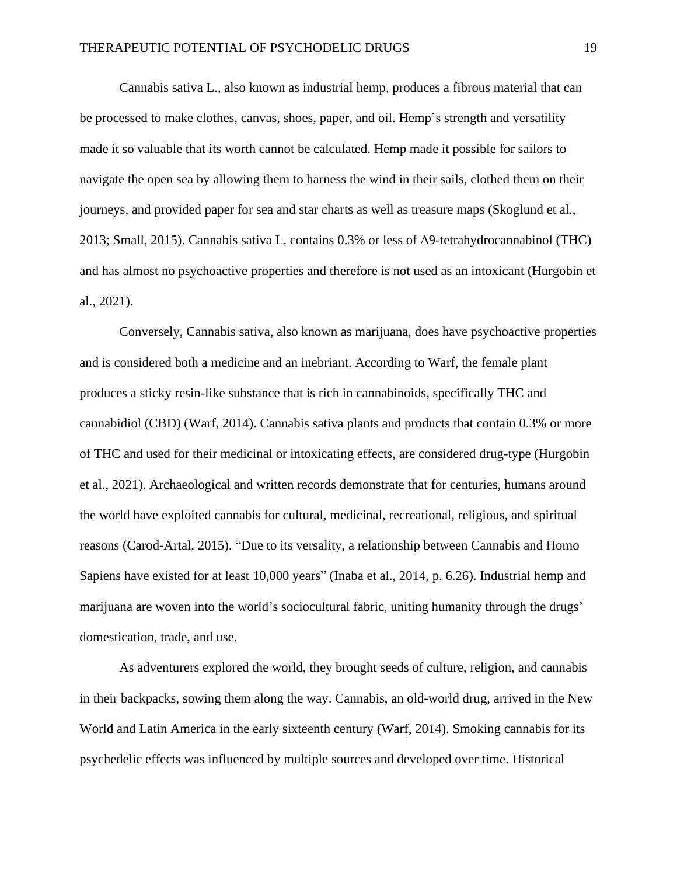Cannabis sativa L., also known as industrial hemp, produces a fibrous material that can be processed to make clothes, canvas, shoes, paper, and oil. Hemp's strength and versatility made it so valuable that its worth cannot be calculated. Hemp made it possible for sailors to navigate the open sea by allowing them to harness the wind in their sails, clothed them on their journeys, and provided paper for sea and star charts as well as treasure maps (Skoglund et al., 2013; Small, 2015). Cannabis sativa L. contains 0.3% or less of Δ9-tetrahydrocannabinol (THC) and has almost no psychoactive properties and therefore is not used as an intoxicant (Hurgobin et al., 2021).

Conversely, Cannabis sativa, also known as marijuana, does have psychoactive properties and is considered both a medicine and an inebriant. According to Warf, the female plant produces a sticky resin-like substance that is rich in cannabinoids, specifically THC and cannabidiol (CBD) (Warf, 2014). Cannabis sativa plants and products that contain 0.3% or more of THC and used for their medicinal or intoxicating effects, are considered drug-type (Hurgobin et al., 2021). Archaeological and written records demonstrate that for centuries, humans around the world have exploited cannabis for cultural, medicinal, recreational, religious, and spiritual reasons (Carod-Artal, 2015). "Due to its versality, a relationship between Cannabis and Homo Sapiens have existed for at least 10,000 years" (Inaba et al., 2014, p. 6.26). Industrial hemp and marijuana are woven into the world's sociocultural fabric, uniting humanity through the drugs' domestication, trade, and use.

As adventurers explored the world, they brought seeds of culture, religion, and cannabis in their backpacks, sowing them along the way. Cannabis, an old-world drug, arrived in the New World and Latin America in the early sixteenth century (Warf, 2014). Smoking cannabis for its psychedelic effects was influenced by multiple sources and developed over time. Historical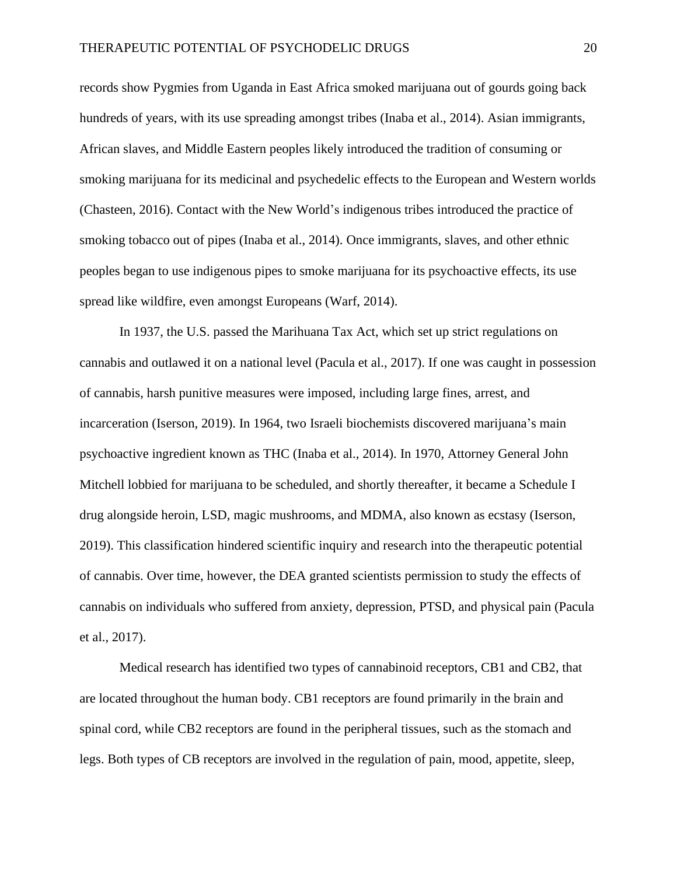records show Pygmies from Uganda in East Africa smoked marijuana out of gourds going back hundreds of years, with its use spreading amongst tribes (Inaba et al., 2014). Asian immigrants, African slaves, and Middle Eastern peoples likely introduced the tradition of consuming or smoking marijuana for its medicinal and psychedelic effects to the European and Western worlds (Chasteen, 2016). Contact with the New World's indigenous tribes introduced the practice of smoking tobacco out of pipes (Inaba et al., 2014). Once immigrants, slaves, and other ethnic peoples began to use indigenous pipes to smoke marijuana for its psychoactive effects, its use spread like wildfire, even amongst Europeans (Warf, 2014).

In 1937, the U.S. passed the Marihuana Tax Act, which set up strict regulations on cannabis and outlawed it on a national level (Pacula et al., 2017). If one was caught in possession of cannabis, harsh punitive measures were imposed, including large fines, arrest, and incarceration (Iserson, 2019). In 1964, two Israeli biochemists discovered marijuana's main psychoactive ingredient known as THC (Inaba et al., 2014). In 1970, Attorney General John Mitchell lobbied for marijuana to be scheduled, and shortly thereafter, it became a Schedule I drug alongside heroin, LSD, magic mushrooms, and MDMA, also known as ecstasy (Iserson, 2019). This classification hindered scientific inquiry and research into the therapeutic potential of cannabis. Over time, however, the DEA granted scientists permission to study the effects of cannabis on individuals who suffered from anxiety, depression, PTSD, and physical pain (Pacula et al., 2017).

Medical research has identified two types of cannabinoid receptors, CB1 and CB2, that are located throughout the human body. CB1 receptors are found primarily in the brain and spinal cord, while CB2 receptors are found in the peripheral tissues, such as the stomach and legs. Both types of CB receptors are involved in the regulation of pain, mood, appetite, sleep,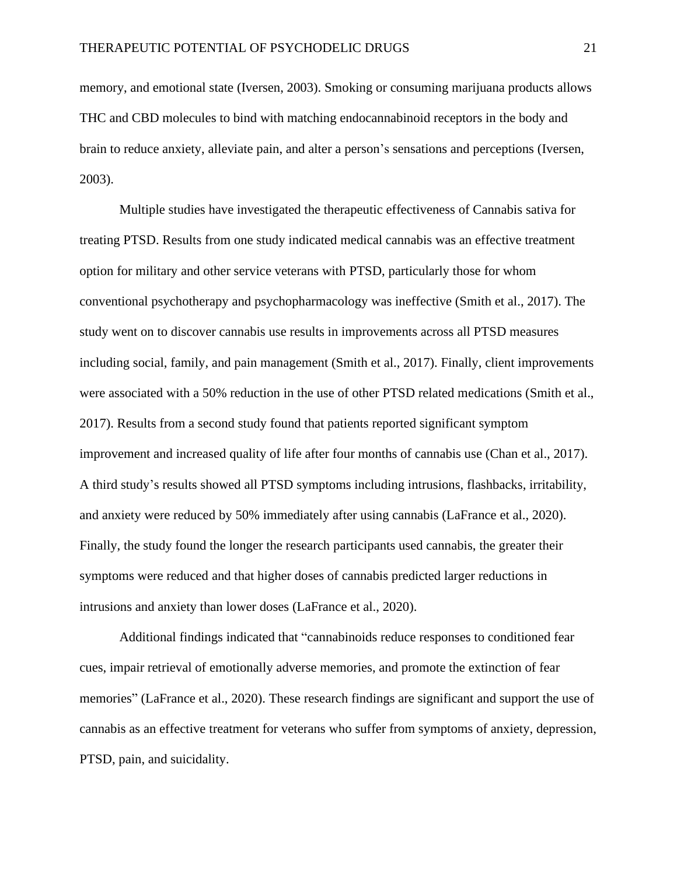memory, and emotional state (Iversen, 2003). Smoking or consuming marijuana products allows THC and CBD molecules to bind with matching endocannabinoid receptors in the body and brain to reduce anxiety, alleviate pain, and alter a person's sensations and perceptions (Iversen, 2003).

Multiple studies have investigated the therapeutic effectiveness of Cannabis sativa for treating PTSD. Results from one study indicated medical cannabis was an effective treatment option for military and other service veterans with PTSD, particularly those for whom conventional psychotherapy and psychopharmacology was ineffective (Smith et al., 2017). The study went on to discover cannabis use results in improvements across all PTSD measures including social, family, and pain management (Smith et al., 2017). Finally, client improvements were associated with a 50% reduction in the use of other PTSD related medications (Smith et al., 2017). Results from a second study found that patients reported significant symptom improvement and increased quality of life after four months of cannabis use (Chan et al., 2017). A third study's results showed all PTSD symptoms including intrusions, flashbacks, irritability, and anxiety were reduced by 50% immediately after using cannabis (LaFrance et al., 2020). Finally, the study found the longer the research participants used cannabis, the greater their symptoms were reduced and that higher doses of cannabis predicted larger reductions in intrusions and anxiety than lower doses (LaFrance et al., 2020).

Additional findings indicated that "cannabinoids reduce responses to conditioned fear cues, impair retrieval of emotionally adverse memories, and promote the extinction of fear memories" (LaFrance et al., 2020). These research findings are significant and support the use of cannabis as an effective treatment for veterans who suffer from symptoms of anxiety, depression, PTSD, pain, and suicidality.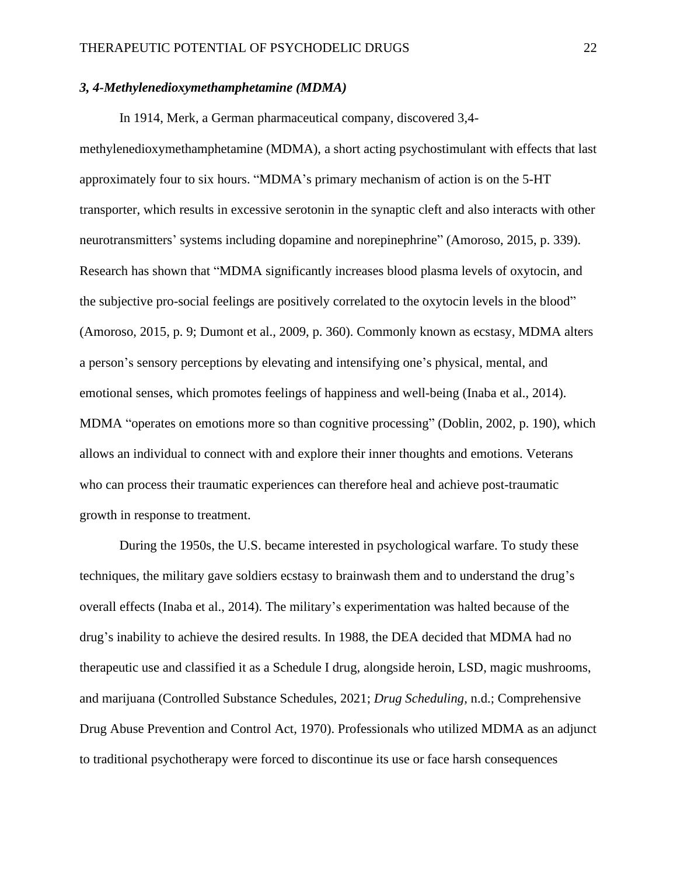#### *3, 4-Methylenedioxymethamphetamine (MDMA)*

In 1914, Merk, a German pharmaceutical company, discovered 3,4-

methylenedioxymethamphetamine (MDMA), a short acting psychostimulant with effects that last approximately four to six hours. "MDMA's primary mechanism of action is on the 5-HT transporter, which results in excessive serotonin in the synaptic cleft and also interacts with other neurotransmitters' systems including dopamine and norepinephrine" (Amoroso, 2015, p. 339). Research has shown that "MDMA significantly increases blood plasma levels of oxytocin, and the subjective pro-social feelings are positively correlated to the oxytocin levels in the blood" (Amoroso, 2015, p. 9; Dumont et al., 2009, p. 360). Commonly known as ecstasy, MDMA alters a person's sensory perceptions by elevating and intensifying one's physical, mental, and emotional senses, which promotes feelings of happiness and well-being (Inaba et al., 2014). MDMA "operates on emotions more so than cognitive processing" (Doblin, 2002, p. 190), which allows an individual to connect with and explore their inner thoughts and emotions. Veterans who can process their traumatic experiences can therefore heal and achieve post-traumatic growth in response to treatment.

During the 1950s, the U.S. became interested in psychological warfare. To study these techniques, the military gave soldiers ecstasy to brainwash them and to understand the drug's overall effects (Inaba et al., 2014). The military's experimentation was halted because of the drug's inability to achieve the desired results. In 1988, the DEA decided that MDMA had no therapeutic use and classified it as a Schedule I drug, alongside heroin, LSD, magic mushrooms, and marijuana (Controlled Substance Schedules, 2021; *Drug Scheduling,* n.d.; Comprehensive Drug Abuse Prevention and Control Act, 1970). Professionals who utilized MDMA as an adjunct to traditional psychotherapy were forced to discontinue its use or face harsh consequences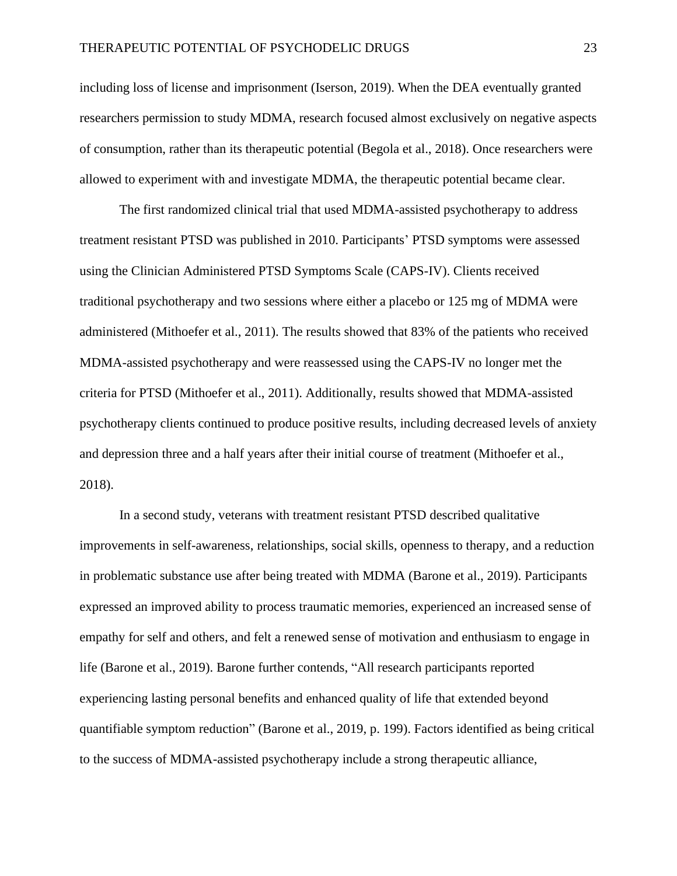including loss of license and imprisonment (Iserson, 2019). When the DEA eventually granted researchers permission to study MDMA, research focused almost exclusively on negative aspects of consumption, rather than its therapeutic potential (Begola et al., 2018). Once researchers were allowed to experiment with and investigate MDMA, the therapeutic potential became clear.

The first randomized clinical trial that used MDMA-assisted psychotherapy to address treatment resistant PTSD was published in 2010. Participants' PTSD symptoms were assessed using the Clinician Administered PTSD Symptoms Scale (CAPS-IV). Clients received traditional psychotherapy and two sessions where either a placebo or 125 mg of MDMA were administered (Mithoefer et al., 2011). The results showed that 83% of the patients who received MDMA-assisted psychotherapy and were reassessed using the CAPS-IV no longer met the criteria for PTSD (Mithoefer et al., 2011). Additionally, results showed that MDMA-assisted psychotherapy clients continued to produce positive results, including decreased levels of anxiety and depression three and a half years after their initial course of treatment (Mithoefer et al., 2018).

In a second study, veterans with treatment resistant PTSD described qualitative improvements in self-awareness, relationships, social skills, openness to therapy, and a reduction in problematic substance use after being treated with MDMA (Barone et al., 2019). Participants expressed an improved ability to process traumatic memories, experienced an increased sense of empathy for self and others, and felt a renewed sense of motivation and enthusiasm to engage in life (Barone et al., 2019). Barone further contends, "All research participants reported experiencing lasting personal benefits and enhanced quality of life that extended beyond quantifiable symptom reduction" (Barone et al., 2019, p. 199). Factors identified as being critical to the success of MDMA-assisted psychotherapy include a strong therapeutic alliance,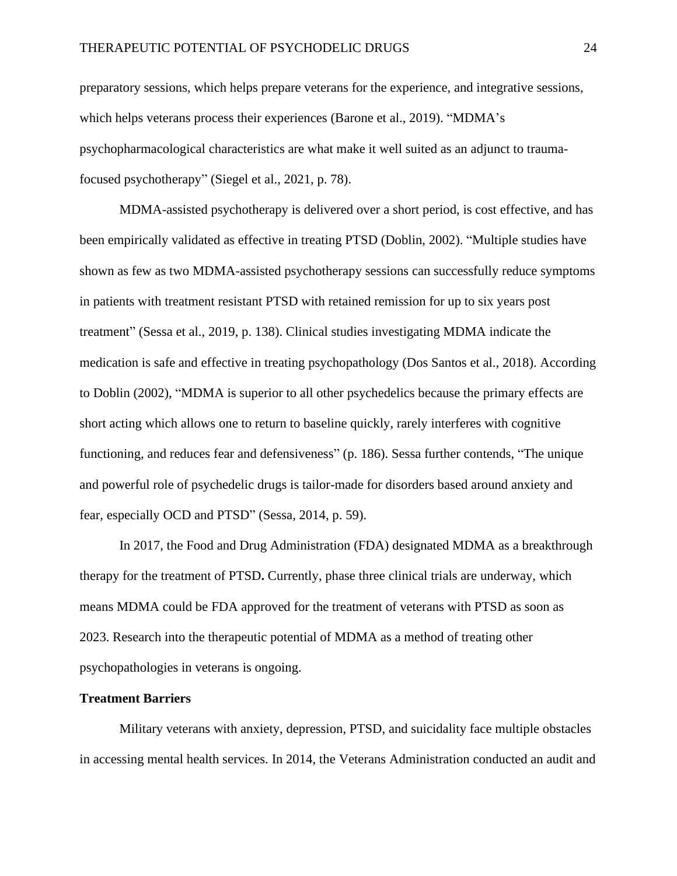preparatory sessions, which helps prepare veterans for the experience, and integrative sessions, which helps veterans process their experiences (Barone et al., 2019). "MDMA's psychopharmacological characteristics are what make it well suited as an adjunct to traumafocused psychotherapy" (Siegel et al., 2021, p. 78).

MDMA-assisted psychotherapy is delivered over a short period, is cost effective, and has been empirically validated as effective in treating PTSD (Doblin, 2002). "Multiple studies have shown as few as two MDMA-assisted psychotherapy sessions can successfully reduce symptoms in patients with treatment resistant PTSD with retained remission for up to six years post treatment" (Sessa et al., 2019, p. 138). Clinical studies investigating MDMA indicate the medication is safe and effective in treating psychopathology (Dos Santos et al., 2018). According to Doblin (2002), "MDMA is superior to all other psychedelics because the primary effects are short acting which allows one to return to baseline quickly, rarely interferes with cognitive functioning, and reduces fear and defensiveness" (p. 186). Sessa further contends, "The unique and powerful role of psychedelic drugs is tailor-made for disorders based around anxiety and fear, especially OCD and PTSD" (Sessa, 2014, p. 59).

In 2017, the Food and Drug Administration (FDA) designated MDMA as a breakthrough therapy for the treatment of PTSD**.** Currently, phase three clinical trials are underway, which means MDMA could be FDA approved for the treatment of veterans with PTSD as soon as 2023. Research into the therapeutic potential of MDMA as a method of treating other psychopathologies in veterans is ongoing.

#### **Treatment Barriers**

Military veterans with anxiety, depression, PTSD, and suicidality face multiple obstacles in accessing mental health services. In 2014, the Veterans Administration conducted an audit and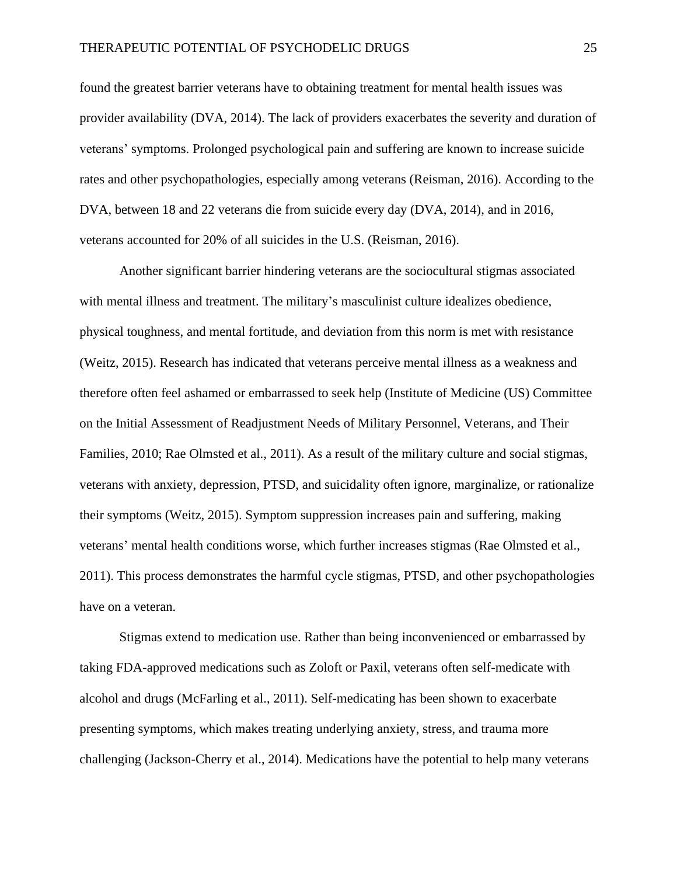found the greatest barrier veterans have to obtaining treatment for mental health issues was provider availability (DVA, 2014). The lack of providers exacerbates the severity and duration of veterans' symptoms. Prolonged psychological pain and suffering are known to increase suicide rates and other psychopathologies, especially among veterans (Reisman, 2016). According to the DVA, between 18 and 22 veterans die from suicide every day (DVA, 2014), and in 2016, veterans accounted for 20% of all suicides in the U.S. (Reisman, 2016).

Another significant barrier hindering veterans are the sociocultural stigmas associated with mental illness and treatment. The military's masculinist culture idealizes obedience, physical toughness, and mental fortitude, and deviation from this norm is met with resistance (Weitz, 2015). Research has indicated that veterans perceive mental illness as a weakness and therefore often feel ashamed or embarrassed to seek help (Institute of Medicine (US) Committee on the Initial Assessment of Readjustment Needs of Military Personnel, Veterans, and Their Families, 2010; Rae Olmsted et al., 2011). As a result of the military culture and social stigmas, veterans with anxiety, depression, PTSD, and suicidality often ignore, marginalize, or rationalize their symptoms (Weitz, 2015). Symptom suppression increases pain and suffering, making veterans' mental health conditions worse, which further increases stigmas (Rae Olmsted et al., 2011). This process demonstrates the harmful cycle stigmas, PTSD, and other psychopathologies have on a veteran.

Stigmas extend to medication use. Rather than being inconvenienced or embarrassed by taking FDA-approved medications such as Zoloft or Paxil, veterans often self-medicate with alcohol and drugs (McFarling et al., 2011). Self-medicating has been shown to exacerbate presenting symptoms, which makes treating underlying anxiety, stress, and trauma more challenging (Jackson-Cherry et al., 2014). Medications have the potential to help many veterans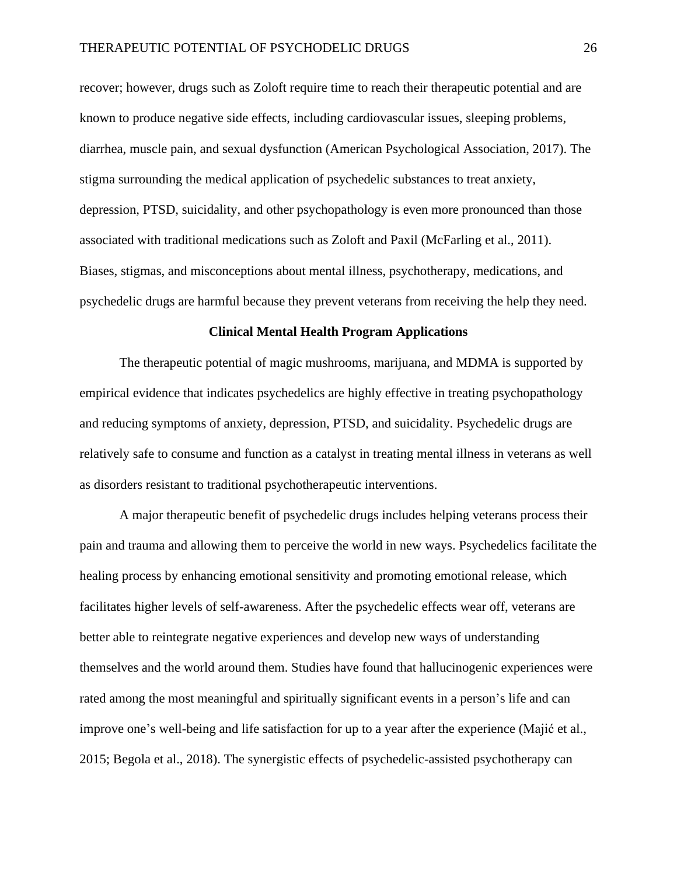recover; however, drugs such as Zoloft require time to reach their therapeutic potential and are known to produce negative side effects, including cardiovascular issues, sleeping problems, diarrhea, muscle pain, and sexual dysfunction (American Psychological Association, 2017). The stigma surrounding the medical application of psychedelic substances to treat anxiety, depression, PTSD, suicidality, and other psychopathology is even more pronounced than those associated with traditional medications such as Zoloft and Paxil (McFarling et al., 2011). Biases, stigmas, and misconceptions about mental illness, psychotherapy, medications, and psychedelic drugs are harmful because they prevent veterans from receiving the help they need.

#### **Clinical Mental Health Program Applications**

The therapeutic potential of magic mushrooms, marijuana, and MDMA is supported by empirical evidence that indicates psychedelics are highly effective in treating psychopathology and reducing symptoms of anxiety, depression, PTSD, and suicidality. Psychedelic drugs are relatively safe to consume and function as a catalyst in treating mental illness in veterans as well as disorders resistant to traditional psychotherapeutic interventions.

A major therapeutic benefit of psychedelic drugs includes helping veterans process their pain and trauma and allowing them to perceive the world in new ways. Psychedelics facilitate the healing process by enhancing emotional sensitivity and promoting emotional release, which facilitates higher levels of self-awareness. After the psychedelic effects wear off, veterans are better able to reintegrate negative experiences and develop new ways of understanding themselves and the world around them. Studies have found that hallucinogenic experiences were rated among the most meaningful and spiritually significant events in a person's life and can improve one's well-being and life satisfaction for up to a year after the experience (Majić et al., 2015; Begola et al., 2018). The synergistic effects of psychedelic-assisted psychotherapy can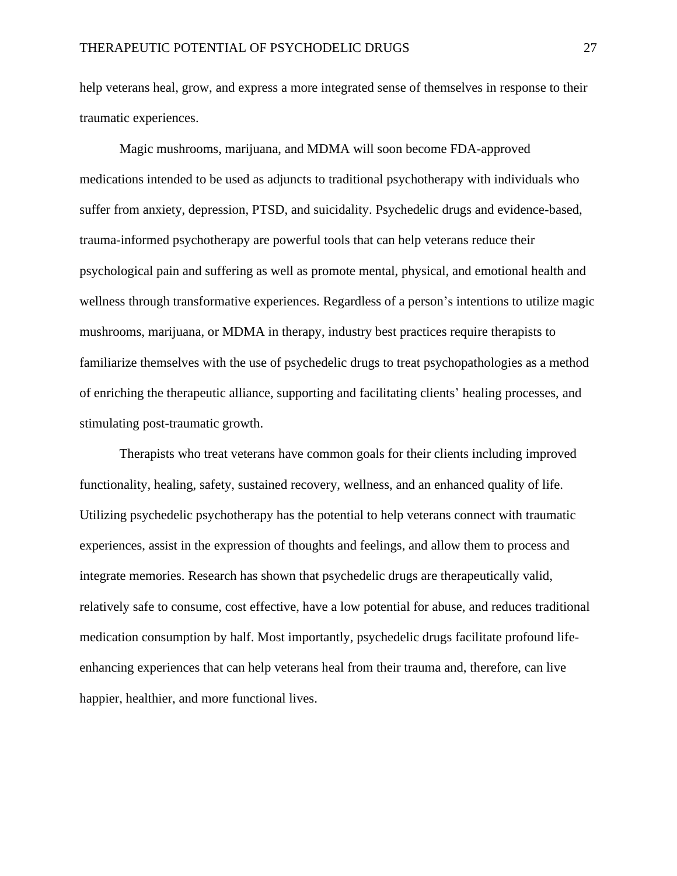help veterans heal, grow, and express a more integrated sense of themselves in response to their traumatic experiences.

Magic mushrooms, marijuana, and MDMA will soon become FDA-approved medications intended to be used as adjuncts to traditional psychotherapy with individuals who suffer from anxiety, depression, PTSD, and suicidality. Psychedelic drugs and evidence-based, trauma-informed psychotherapy are powerful tools that can help veterans reduce their psychological pain and suffering as well as promote mental, physical, and emotional health and wellness through transformative experiences. Regardless of a person's intentions to utilize magic mushrooms, marijuana, or MDMA in therapy, industry best practices require therapists to familiarize themselves with the use of psychedelic drugs to treat psychopathologies as a method of enriching the therapeutic alliance, supporting and facilitating clients' healing processes, and stimulating post-traumatic growth.

Therapists who treat veterans have common goals for their clients including improved functionality, healing, safety, sustained recovery, wellness, and an enhanced quality of life. Utilizing psychedelic psychotherapy has the potential to help veterans connect with traumatic experiences, assist in the expression of thoughts and feelings, and allow them to process and integrate memories. Research has shown that psychedelic drugs are therapeutically valid, relatively safe to consume, cost effective, have a low potential for abuse, and reduces traditional medication consumption by half. Most importantly, psychedelic drugs facilitate profound lifeenhancing experiences that can help veterans heal from their trauma and, therefore, can live happier, healthier, and more functional lives.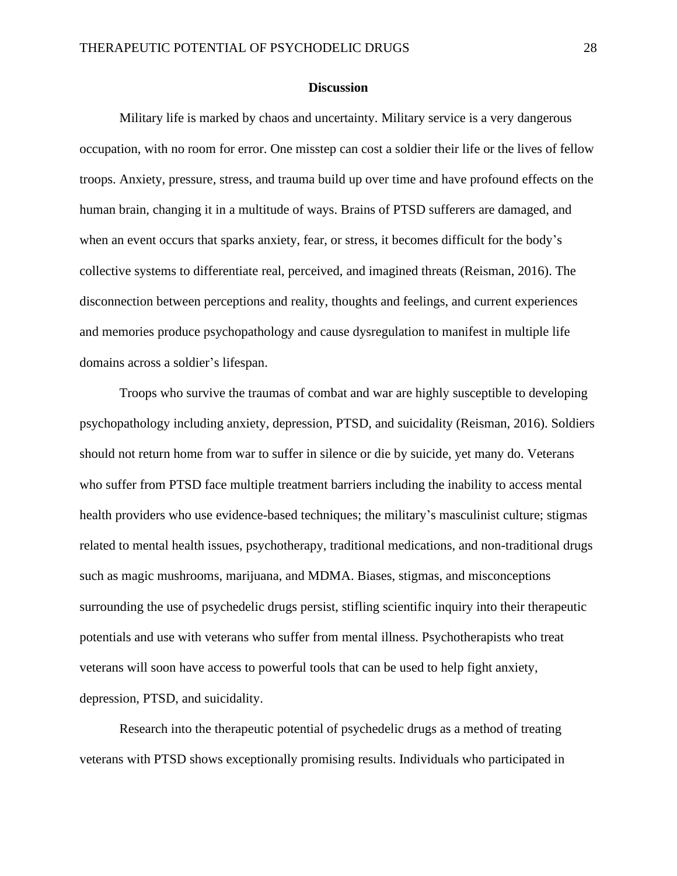#### **Discussion**

Military life is marked by chaos and uncertainty. Military service is a very dangerous occupation, with no room for error. One misstep can cost a soldier their life or the lives of fellow troops. Anxiety, pressure, stress, and trauma build up over time and have profound effects on the human brain, changing it in a multitude of ways. Brains of PTSD sufferers are damaged, and when an event occurs that sparks anxiety, fear, or stress, it becomes difficult for the body's collective systems to differentiate real, perceived, and imagined threats (Reisman, 2016). The disconnection between perceptions and reality, thoughts and feelings, and current experiences and memories produce psychopathology and cause dysregulation to manifest in multiple life domains across a soldier's lifespan.

Troops who survive the traumas of combat and war are highly susceptible to developing psychopathology including anxiety, depression, PTSD, and suicidality (Reisman, 2016). Soldiers should not return home from war to suffer in silence or die by suicide, yet many do. Veterans who suffer from PTSD face multiple treatment barriers including the inability to access mental health providers who use evidence-based techniques; the military's masculinist culture; stigmas related to mental health issues, psychotherapy, traditional medications, and non-traditional drugs such as magic mushrooms, marijuana, and MDMA. Biases, stigmas, and misconceptions surrounding the use of psychedelic drugs persist, stifling scientific inquiry into their therapeutic potentials and use with veterans who suffer from mental illness. Psychotherapists who treat veterans will soon have access to powerful tools that can be used to help fight anxiety, depression, PTSD, and suicidality.

Research into the therapeutic potential of psychedelic drugs as a method of treating veterans with PTSD shows exceptionally promising results. Individuals who participated in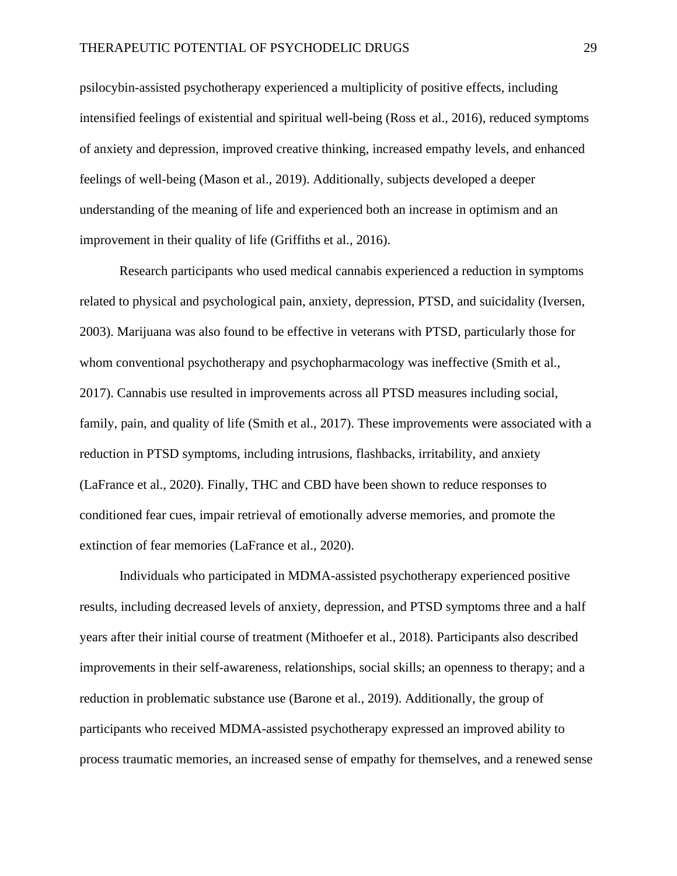psilocybin-assisted psychotherapy experienced a multiplicity of positive effects, including intensified feelings of existential and spiritual well-being (Ross et al., 2016), reduced symptoms of anxiety and depression, improved creative thinking, increased empathy levels, and enhanced feelings of well-being (Mason et al., 2019). Additionally, subjects developed a deeper understanding of the meaning of life and experienced both an increase in optimism and an improvement in their quality of life (Griffiths et al., 2016).

Research participants who used medical cannabis experienced a reduction in symptoms related to physical and psychological pain, anxiety, depression, PTSD, and suicidality (Iversen, 2003). Marijuana was also found to be effective in veterans with PTSD, particularly those for whom conventional psychotherapy and psychopharmacology was ineffective (Smith et al., 2017). Cannabis use resulted in improvements across all PTSD measures including social, family, pain, and quality of life (Smith et al., 2017). These improvements were associated with a reduction in PTSD symptoms, including intrusions, flashbacks, irritability, and anxiety (LaFrance et al., 2020). Finally, THC and CBD have been shown to reduce responses to conditioned fear cues, impair retrieval of emotionally adverse memories, and promote the extinction of fear memories (LaFrance et al., 2020).

Individuals who participated in MDMA-assisted psychotherapy experienced positive results, including decreased levels of anxiety, depression, and PTSD symptoms three and a half years after their initial course of treatment (Mithoefer et al., 2018). Participants also described improvements in their self-awareness, relationships, social skills; an openness to therapy; and a reduction in problematic substance use (Barone et al., 2019). Additionally, the group of participants who received MDMA-assisted psychotherapy expressed an improved ability to process traumatic memories, an increased sense of empathy for themselves, and a renewed sense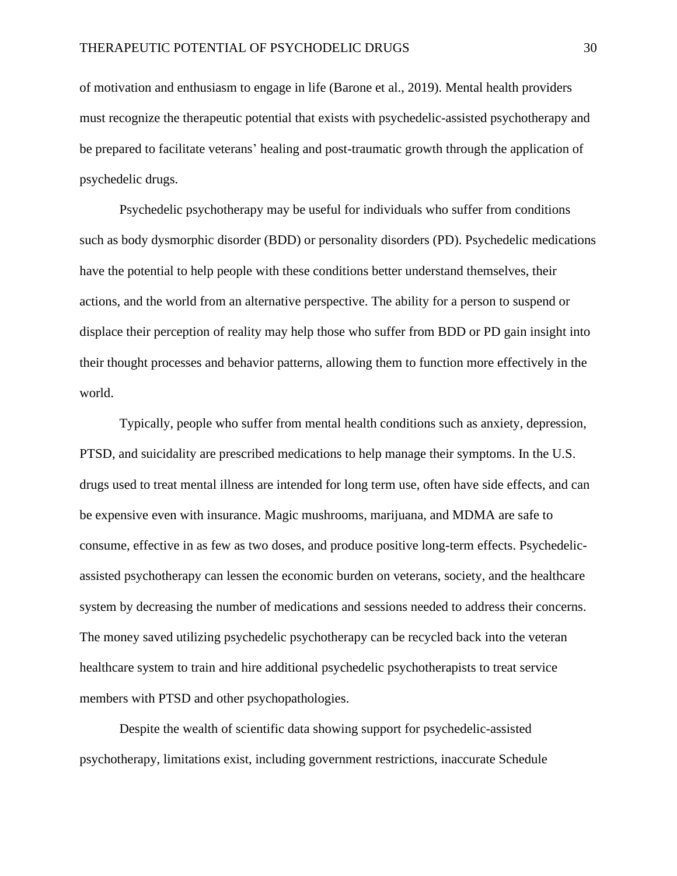of motivation and enthusiasm to engage in life (Barone et al., 2019). Mental health providers must recognize the therapeutic potential that exists with psychedelic-assisted psychotherapy and be prepared to facilitate veterans' healing and post-traumatic growth through the application of psychedelic drugs.

Psychedelic psychotherapy may be useful for individuals who suffer from conditions such as body dysmorphic disorder (BDD) or personality disorders (PD). Psychedelic medications have the potential to help people with these conditions better understand themselves, their actions, and the world from an alternative perspective. The ability for a person to suspend or displace their perception of reality may help those who suffer from BDD or PD gain insight into their thought processes and behavior patterns, allowing them to function more effectively in the world.

Typically, people who suffer from mental health conditions such as anxiety, depression, PTSD, and suicidality are prescribed medications to help manage their symptoms. In the U.S. drugs used to treat mental illness are intended for long term use, often have side effects, and can be expensive even with insurance. Magic mushrooms, marijuana, and MDMA are safe to consume, effective in as few as two doses, and produce positive long-term effects. Psychedelicassisted psychotherapy can lessen the economic burden on veterans, society, and the healthcare system by decreasing the number of medications and sessions needed to address their concerns. The money saved utilizing psychedelic psychotherapy can be recycled back into the veteran healthcare system to train and hire additional psychedelic psychotherapists to treat service members with PTSD and other psychopathologies.

Despite the wealth of scientific data showing support for psychedelic-assisted psychotherapy, limitations exist, including government restrictions, inaccurate Schedule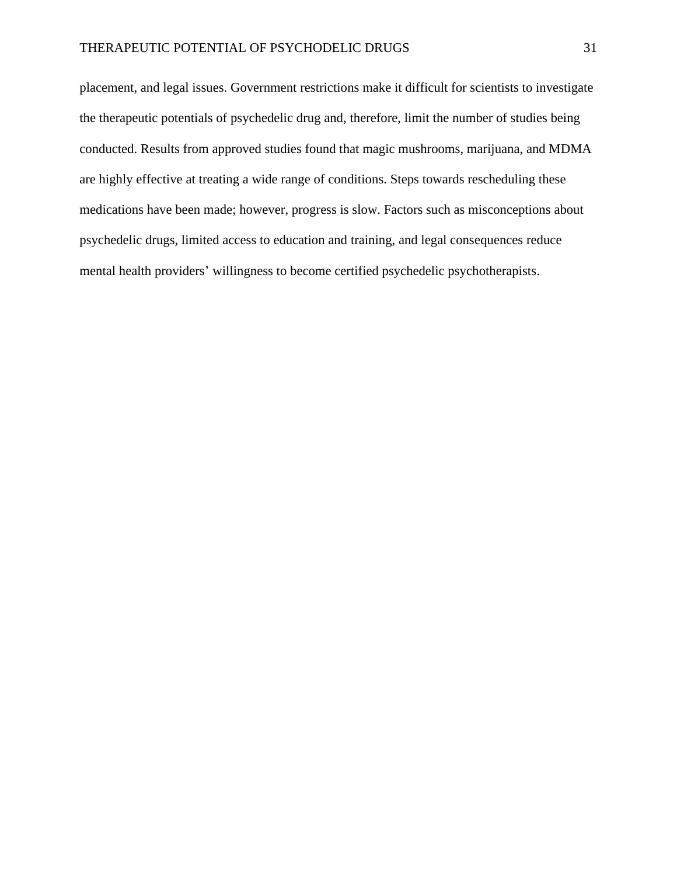placement, and legal issues. Government restrictions make it difficult for scientists to investigate the therapeutic potentials of psychedelic drug and, therefore, limit the number of studies being conducted. Results from approved studies found that magic mushrooms, marijuana, and MDMA are highly effective at treating a wide range of conditions. Steps towards rescheduling these medications have been made; however, progress is slow. Factors such as misconceptions about psychedelic drugs, limited access to education and training, and legal consequences reduce mental health providers' willingness to become certified psychedelic psychotherapists.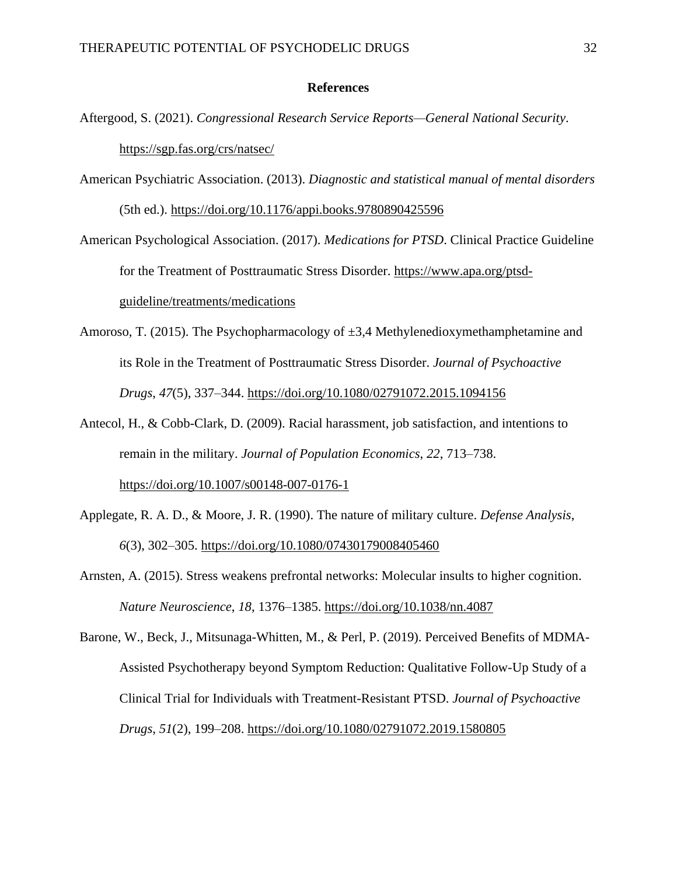#### **References**

- Aftergood, S. (2021). *Congressional Research Service Reports—General National Security*. <https://sgp.fas.org/crs/natsec/>
- American Psychiatric Association. (2013). *Diagnostic and statistical manual of mental disorders* (5th ed.).<https://doi.org/10.1176/appi.books.9780890425596>

American Psychological Association. (2017). *Medications for PTSD*. Clinical Practice Guideline for the Treatment of Posttraumatic Stress Disorder[.](https://www.apa.org/ptsd-guideline/treatments/medications) [https://www.apa.org/ptsd](https://www.apa.org/ptsd-guideline/treatments/medications)[guideline/treatments/medications](https://www.apa.org/ptsd-guideline/treatments/medications)

- Amoroso, T. (2015). The Psychopharmacology of ±3,4 Methylenedioxymethamphetamine and its Role in the Treatment of Posttraumatic Stress Disorder. *Journal of Psychoactive Drugs*, *47*(5), 337–344. <https://doi.org/10.1080/02791072.2015.1094156>
- Antecol, H., & Cobb-Clark, D. (2009). Racial harassment, job satisfaction, and intentions to remain in the military. *Journal of Population Economics*, *22*, 713–738[.](https://doi.org/10.1007/s00148-007-0176-1) <https://doi.org/10.1007/s00148-007-0176-1>
- Applegate, R. A. D., & Moore, J. R. (1990). The nature of military culture. *Defense Analysis*, *6*(3), 302–305. <https://doi.org/10.1080/07430179008405460>
- Arnsten, A. (2015). Stress weakens prefrontal networks: Molecular insults to higher cognition. *Nature Neuroscience*, *18*, 1376–1385[.](https://doi.org/10.1038/nn.4087) <https://doi.org/10.1038/nn.4087>
- Barone, W., Beck, J., Mitsunaga-Whitten, M., & Perl, P. (2019). Perceived Benefits of MDMA-Assisted Psychotherapy beyond Symptom Reduction: Qualitative Follow-Up Study of a Clinical Trial for Individuals with Treatment-Resistant PTSD. *Journal of Psychoactive Drugs*, *51*(2), 199–208. <https://doi.org/10.1080/02791072.2019.1580805>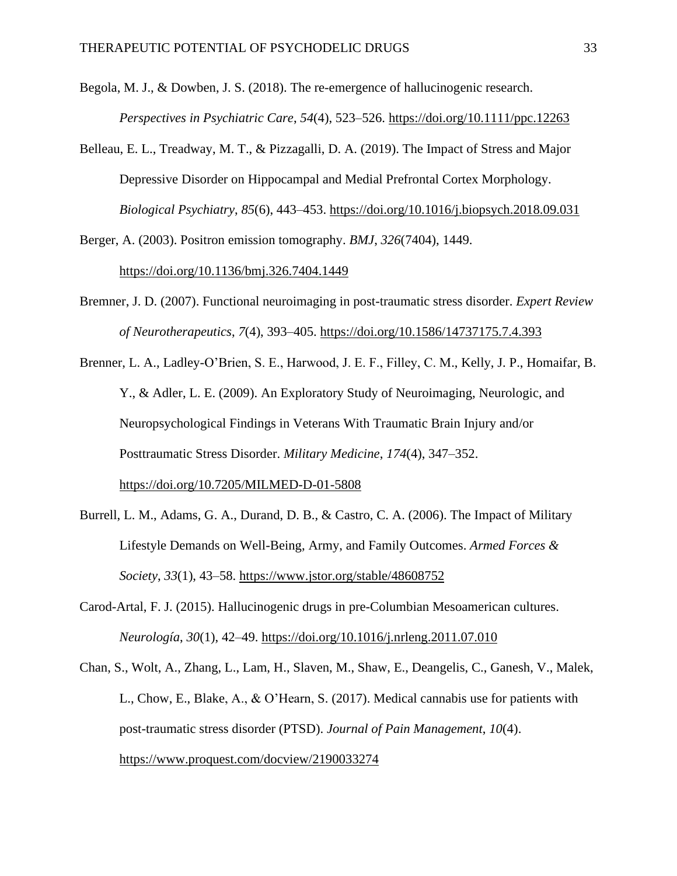Begola, M. J., & Dowben, J. S. (2018). The re-emergence of hallucinogenic research. *Perspectives in Psychiatric Care*, *54*(4), 523–526[.](https://doi.org/10.1111/ppc.12263) <https://doi.org/10.1111/ppc.12263>

- Belleau, E. L., Treadway, M. T., & Pizzagalli, D. A. (2019). The Impact of Stress and Major Depressive Disorder on Hippocampal and Medial Prefrontal Cortex Morphology. *Biological Psychiatry*, *85*(6), 443–453. <https://doi.org/10.1016/j.biopsych.2018.09.031>
- Berger, A. (2003). Positron emission tomography. *BMJ*, *326*(7404), 1449[.](https://doi.org/Berger%20A.%20(2003).%20How%20does%20it%20work?%20Positron%20emission%20tomography.%20BMJ%20(Clinical%20research%20ed.),%20326(7404),%201449.%20https://doi.org/10.1136/bmj.326.7404.1449) [https://doi.org/10.1136/bmj.326.7404.1449](https://doi.org/Berger%20A.%20(2003).%20How%20does%20it%20work?%20Positron%20emission%20tomography.%20BMJ%20(Clinical%20research%20ed.),%20326(7404),%201449.%20https://doi.org/10.1136/bmj.326.7404.1449)
- Bremner, J. D. (2007). Functional neuroimaging in post-traumatic stress disorder. *Expert Review of Neurotherapeutics*, *7*(4), 393–405[.](https://doi.org/10.1586/14737175.7.4.393) <https://doi.org/10.1586/14737175.7.4.393>
- Brenner, L. A., Ladley-O'Brien, S. E., Harwood, J. E. F., Filley, C. M., Kelly, J. P., Homaifar, B. Y., & Adler, L. E. (2009). An Exploratory Study of Neuroimaging, Neurologic, and Neuropsychological Findings in Veterans With Traumatic Brain Injury and/or Posttraumatic Stress Disorder. *Military Medicine*, *174*(4), 347–352[.](https://doi.org/10.7205/MILMED-D-01-5808) <https://doi.org/10.7205/MILMED-D-01-5808>
- Burrell, L. M., Adams, G. A., Durand, D. B., & Castro, C. A. (2006). The Impact of Military Lifestyle Demands on Well-Being, Army, and Family Outcomes. *Armed Forces & Society*, *33*(1), 43–58.<https://www.jstor.org/stable/48608752>
- Carod-Artal, F. J. (2015). Hallucinogenic drugs in pre-Columbian Mesoamerican cultures. *Neurología*, *30*(1), 42–49[.](https://doi.org/10.1016/j.nrleng.2011.07.010) <https://doi.org/10.1016/j.nrleng.2011.07.010>
- Chan, S., Wolt, A., Zhang, L., Lam, H., Slaven, M., Shaw, E., Deangelis, C., Ganesh, V., Malek, L., Chow, E., Blake, A., & O'Hearn, S. (2017). Medical cannabis use for patients with post-traumatic stress disorder (PTSD). *Journal of Pain Management*, *10*(4). <https://www.proquest.com/docview/2190033274>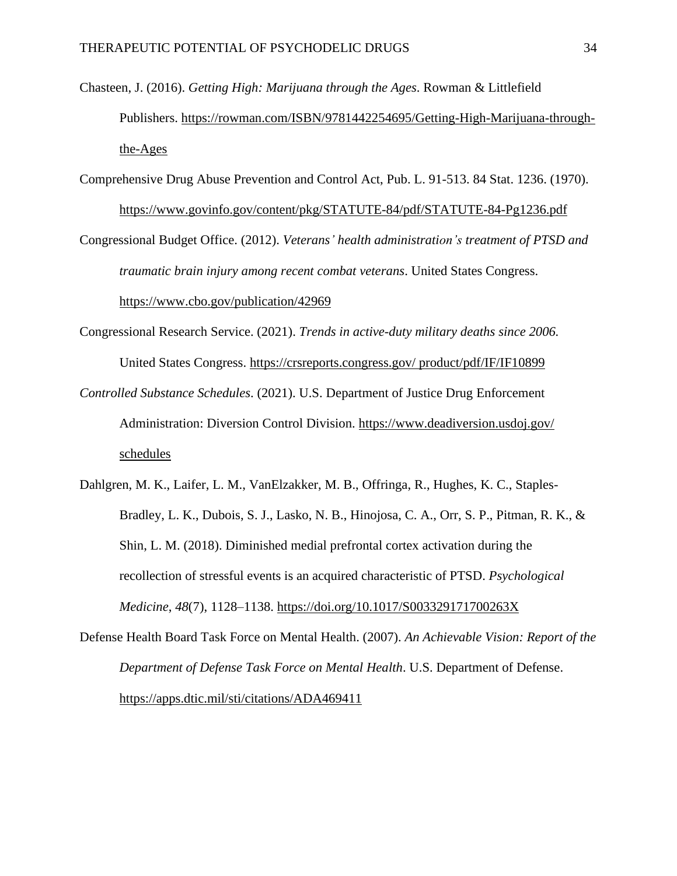- Chasteen, J. (2016). *Getting High: Marijuana through the Ages*. Rowman & Littlefield Publishers[.](https://rowman.com/ISBN/9781442254695/Getting-High-Marijuana-through-the-Ages) [https://rowman.com/ISBN/9781442254695/Getting-High-Marijuana-through](https://rowman.com/ISBN/9781442254695/Getting-High-Marijuana-through-the-Ages)[the-Ages](https://rowman.com/ISBN/9781442254695/Getting-High-Marijuana-through-the-Ages)
- Comprehensive Drug Abuse Prevention and Control Act, Pub. L. 91-513. 84 Stat. 1236. (1970). <https://www.govinfo.gov/content/pkg/STATUTE-84/pdf/STATUTE-84-Pg1236.pdf>

Congressional Budget Office. (2012). *Veterans' health administration's treatment of PTSD and traumatic brain injury among recent combat veterans*. United States Congress. <https://www.cbo.gov/publication/42969>

- Congressional Research Service. (2021). *Trends in active-duty military deaths since 2006.* United States Congress. [https://crsreports.congress.gov/](https://crsreports.congress.gov/%20product/pdf/IF/IF10899) product/pdf/IF/IF10899
- *Controlled Substance Schedules*. (2021). U.S. Department of Justice Drug Enforcement Administration: Diversion Control Division. <https://www.deadiversion.usdoj.gov/> schedules
- Dahlgren, M. K., Laifer, L. M., VanElzakker, M. B., Offringa, R., Hughes, K. C., Staples-Bradley, L. K., Dubois, S. J., Lasko, N. B., Hinojosa, C. A., Orr, S. P., Pitman, R. K., & Shin, L. M. (2018). Diminished medial prefrontal cortex activation during the recollection of stressful events is an acquired characteristic of PTSD. *Psychological Medicine*, *48*(7), 1128–1138[.](https://doi.org/10.1017/S003329171700263X) <https://doi.org/10.1017/S003329171700263X>

Defense Health Board Task Force on Mental Health[.](https://apps.dtic.mil/sti/citations/ADA469411) (2007). *An Achievable Vision: Report of the Department of Defense Task Force on Mental Health*. U.S. Department of Defense. <https://apps.dtic.mil/sti/citations/ADA469411>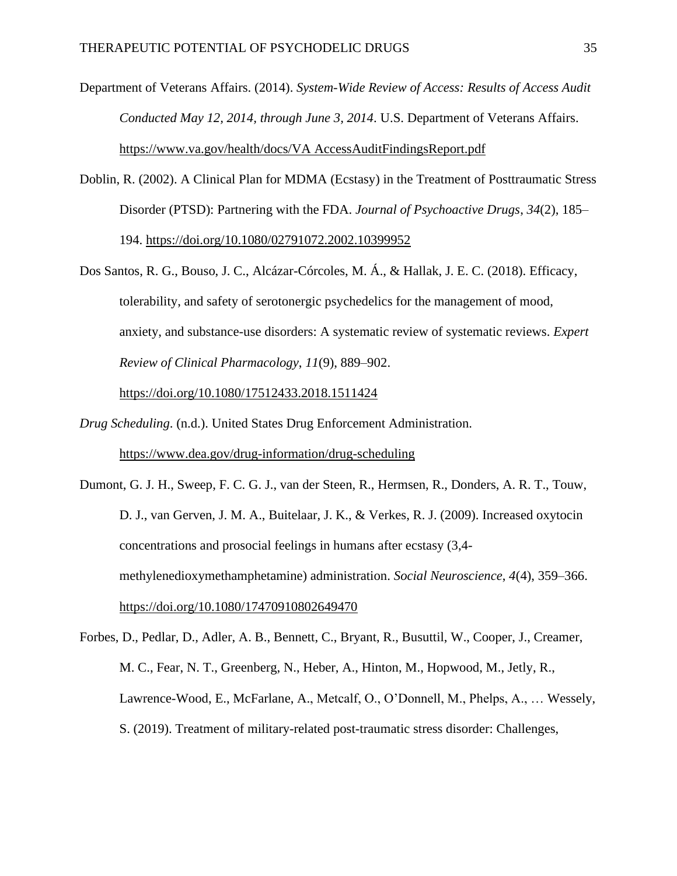Department of Veterans Affairs. [\(](https://www.va.gov/health/docs/VAAccessAuditFindingsReport.pdf)2014). *System-Wide Review of Access: Results of Access Audit Conducted May 12, 2014, through June 3, 2014*. U.S. Department of Veterans Affairs. [https://www.va.gov/health/docs/VA](https://www.va.gov/health/docs/VA%20AccessAuditFindingsReport.pdf) AccessAuditFindingsReport.pdf

- Doblin, R. (2002). A Clinical Plan for MDMA (Ecstasy) in the Treatment of Posttraumatic Stress Disorder (PTSD): Partnering with the FDA. *Journal of Psychoactive Drugs*, *34*(2), 185– 194[.](https://doi.org/10.1080/02791072.2002.10399952) <https://doi.org/10.1080/02791072.2002.10399952>
- Dos Santos, R. G., Bouso, J. C., Alcázar-Córcoles, M. Á., & Hallak, J. E. C. (2018). Efficacy, tolerability, and safety of serotonergic psychedelics for the management of mood, anxiety, and substance-use disorders: A systematic review of systematic reviews. *Expert Review of Clinical Pharmacology*, *11*(9), 889–902[.](https://doi.org/10.1080/17512433.2018.1511424)

<https://doi.org/10.1080/17512433.2018.1511424>

- *Drug Scheduling*. (n.d.). United States Drug Enforcement Administration[.](https://www.dea.gov/drug-information/drug-scheduling) <https://www.dea.gov/drug-information/drug-scheduling>
- Dumont, G. J. H., Sweep, F. C. G. J., van der Steen, R., Hermsen, R., Donders, A. R. T., Touw, D. J., van Gerven, J. M. A., Buitelaar, J. K., & Verkes, R. J. (2009). Increased oxytocin concentrations and prosocial feelings in humans after ecstasy (3,4 methylenedioxymethamphetamine) administration. *Social Neuroscience*, *4*(4), 359–366[.](https://doi.org/10.1080/17470910802649470) <https://doi.org/10.1080/17470910802649470>
- Forbes, D., Pedlar, D., Adler, A. B., Bennett, C., Bryant, R., Busuttil, W., Cooper, J., Creamer, M. C., Fear, N. T., Greenberg, N., Heber, A., Hinton, M., Hopwood, M., Jetly, R., Lawrence-Wood, E., McFarlane, A., Metcalf, O., O'Donnell, M., Phelps, A., … Wessely, S. (2019). Treatment of military-related post-traumatic stress disorder: Challenges,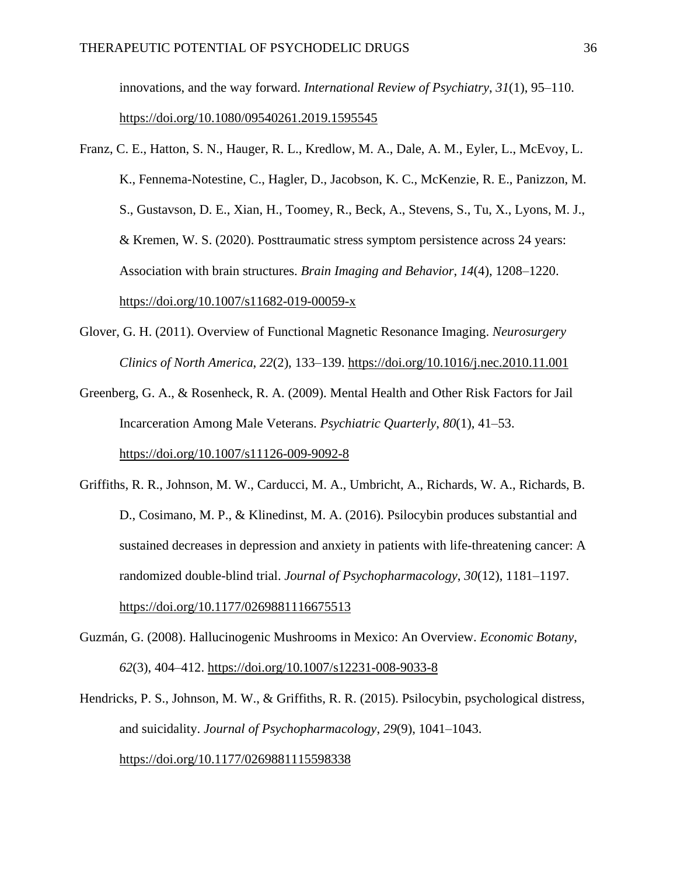innovations, and the way forward. *International Review of Psychiatry*, *31*(1), 95–110[.](https://doi.org/10.1080/09540261.2019.1595545) <https://doi.org/10.1080/09540261.2019.1595545>

- Franz, C. E., Hatton, S. N., Hauger, R. L., Kredlow, M. A., Dale, A. M., Eyler, L., McEvoy, L. K., Fennema-Notestine, C., Hagler, D., Jacobson, K. C., McKenzie, R. E., Panizzon, M. S., Gustavson, D. E., Xian, H., Toomey, R., Beck, A., Stevens, S., Tu, X., Lyons, M. J., & Kremen, W. S. (2020). Posttraumatic stress symptom persistence across 24 years: Association with brain structures. *Brain Imaging and Behavior*, *14*(4), 1208–1220[.](https://doi.org/10.1007/s11682-019-00059-x) <https://doi.org/10.1007/s11682-019-00059-x>
- Glover, G. H. (2011). Overview of Functional Magnetic Resonance Imaging. *Neurosurgery Clinics of North America*, *22*(2), 133–139. <https://doi.org/10.1016/j.nec.2010.11.001>

Greenberg, G. A., & Rosenheck, R. A. (2009). Mental Health and Other Risk Factors for Jail Incarceration Among Male Veterans. *Psychiatric Quarterly*, *80*(1), 41–53[.](https://doi.org/10.1007/s11126-009-9092-8) <https://doi.org/10.1007/s11126-009-9092-8>

- Griffiths, R. R., Johnson, M. W., Carducci, M. A., Umbricht, A., Richards, W. A., Richards, B. D., Cosimano, M. P., & Klinedinst, M. A. (2016). Psilocybin produces substantial and sustained decreases in depression and anxiety in patients with life-threatening cancer: A randomized double-blind trial. *Journal of Psychopharmacology*, *30*(12), 1181–1197[.](https://doi.org/10.1177/0269881116675513) <https://doi.org/10.1177/0269881116675513>
- Guzmán, G. (2008). Hallucinogenic Mushrooms in Mexico: An Overview. *Economic Botany*, *62*(3), 404–412. <https://doi.org/10.1007/s12231-008-9033-8>
- Hendricks, P. S., Johnson, M. W., & Griffiths, R. R. (2015). Psilocybin, psychological distress, and suicidality. *Journal of Psychopharmacology*, *29*(9), 1041–1043[.](https://doi.org/10.1177/0269881115598338) <https://doi.org/10.1177/0269881115598338>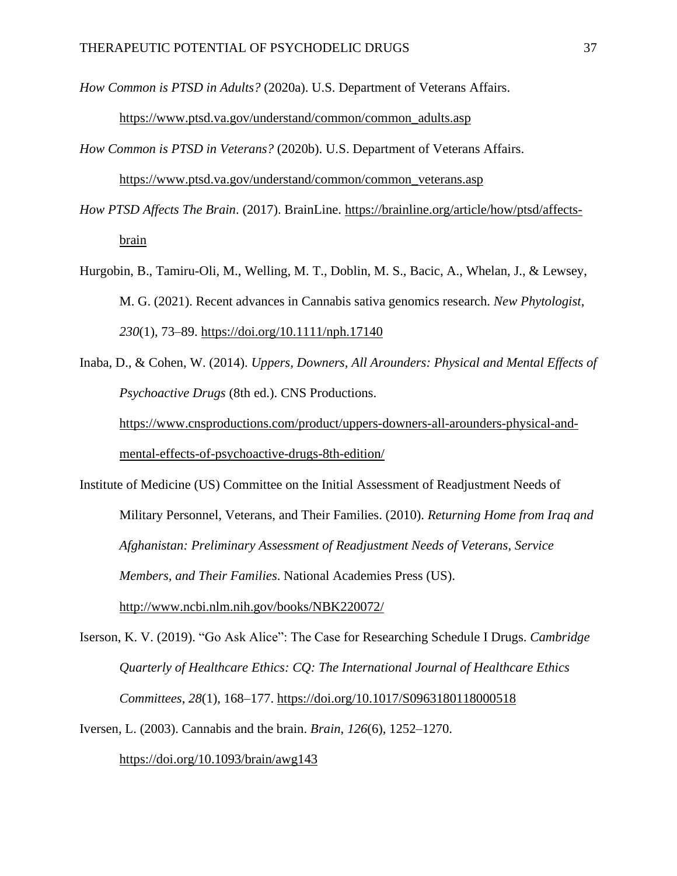*How Common is PTSD in Adults?* (2020a). U.S. Department of Veterans Affairs.

[https://www.ptsd.va.gov/understand/common/common\\_adults.asp](https://www.ptsd.va.gov/understand/common/common_adults.asp) 

*How Common is PTSD in Veterans?* (2020b). U.S. Department of Veterans Affairs. [https://www.ptsd.va.gov/understand/common/common\\_veterans.asp](https://www.ptsd.va.gov/understand/common/common_veterans.asp)

*How PTSD Affects The Brain*. (2017). BrainLine. [https://brainline.org/article/how/ptsd/affects](https://brainline.org/article/how/ptsd/affects-brain)[brain](https://brainline.org/article/how/ptsd/affects-brain)

Hurgobin, B., Tamiru-Oli, M., Welling, M. T., Doblin, M. S., Bacic, A., Whelan, J., & Lewsey, M. G. (2021). Recent advances in Cannabis sativa genomics research. *New Phytologist*, *230*(1), 73–89. <https://doi.org/10.1111/nph.17140>

Inaba, D., & Cohen, W. (2014). *Uppers, Downers, All Arounders: Physical and Mental Effects of Psychoactive Drugs* (8th ed.). CNS Productions[.](https://www.cnsproductions.com/product/uppers-downers-all-arounders-physical-and-mental-effects-of-psychoactive-drugs-8th-edition/) [https://www.cnsproductions.com/product/uppers-downers-all-arounders-physical-and-](https://www.cnsproductions.com/product/uppers-downers-all-arounders-physical-and-mental-effects-of-psychoactive-drugs-8th-edition/)

[mental-effects-of-psychoactive-drugs-8th-edition/](https://www.cnsproductions.com/product/uppers-downers-all-arounders-physical-and-mental-effects-of-psychoactive-drugs-8th-edition/)

Institute of Medicine (US) Committee on the Initial Assessment of Readjustment Needs of Military Personnel, Veterans, and Their Families. (2010). *Returning Home from Iraq and Afghanistan: Preliminary Assessment of Readjustment Needs of Veterans, Service Members, and Their Families*. National Academies Press (US)[.](http://www.ncbi.nlm.nih.gov/books/NBK220072/) <http://www.ncbi.nlm.nih.gov/books/NBK220072/>

Iserson, K. V. (2019). "Go Ask Alice": The Case for Researching Schedule I Drugs. *Cambridge Quarterly of Healthcare Ethics: CQ: The International Journal of Healthcare Ethics Committees*, *28*(1), 168–177[.](https://doi.org/10.1017/S0963180118000518) <https://doi.org/10.1017/S0963180118000518>

Iversen, L. (2003). Cannabis and the brain. *Brain*, *126*(6), 1252–1270[.](https://doi.org/10.1093/brain/awg143) <https://doi.org/10.1093/brain/awg143>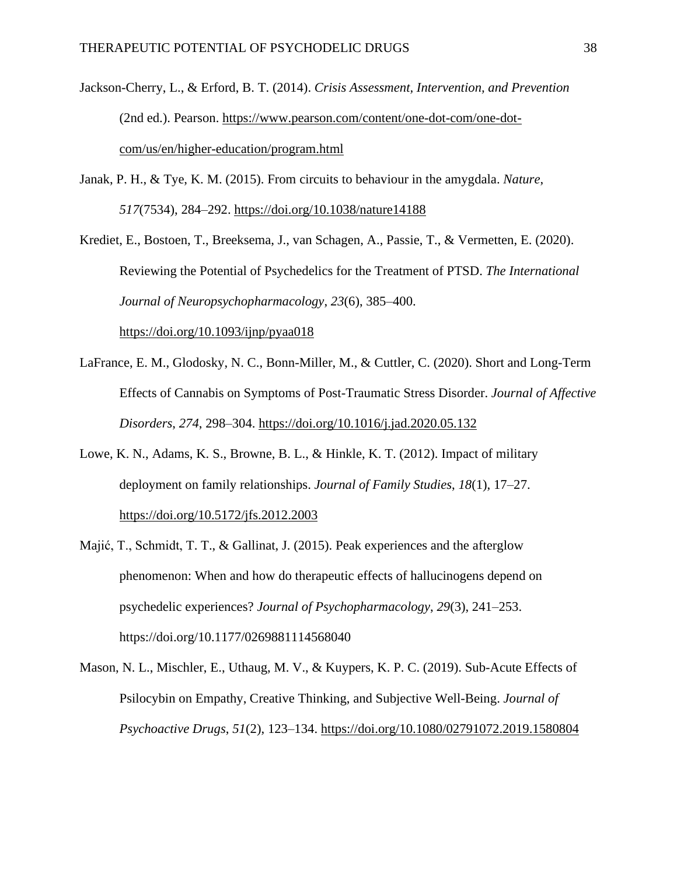- Jackson-Cherry, L., & Erford, B. T. (2014). *Crisis Assessment, Intervention, and Prevention* (2nd ed.). Pearson. [https://www.pearson.com/content/one-dot-com/one-dot](https://www.pearson.com/content/one-dot-com/one-dot-com/us/en/higher-education/program.html)[com/us/en/higher-education/program.html](https://www.pearson.com/content/one-dot-com/one-dot-com/us/en/higher-education/program.html)
- Janak, P. H., & Tye, K. M. (2015). From circuits to behaviour in the amygdala. *Nature*, *517*(7534), 284–292. <https://doi.org/10.1038/nature14188>

Krediet, E., Bostoen, T., Breeksema, J., van Schagen, A., Passie, T., & Vermetten, E. (2020). Reviewing the Potential of Psychedelics for the Treatment of PTSD. *The International Journal of Neuropsychopharmacology*, *23*(6), 385–400[.](https://doi.org/10.1093/ijnp/pyaa018)

<https://doi.org/10.1093/ijnp/pyaa018>

- LaFrance, E. M., Glodosky, N. C., Bonn-Miller, M., & Cuttler, C. (2020). Short and Long-Term Effects of Cannabis on Symptoms of Post-Traumatic Stress Disorder. *Journal of Affective Disorders*, *274*, 298–304[.](https://doi.org/10.1016/j.jad.2020.05.132) <https://doi.org/10.1016/j.jad.2020.05.132>
- Lowe, K. N., Adams, K. S., Browne, B. L., & Hinkle, K. T. (2012). Impact of military deployment on family relationships. *Journal of Family Studies*, *18*(1), 17–27[.](https://doi.org/10.5172/jfs.2012.2003) <https://doi.org/10.5172/jfs.2012.2003>
- Majić, T., Schmidt, T. T., & Gallinat, J. (2015). Peak experiences and the afterglow phenomenon: When and how do therapeutic effects of hallucinogens depend on psychedelic experiences? *Journal of Psychopharmacology*, *29*(3), 241–253[.](https://doi.org/10.1177/0269881114568040) <https://doi.org/10.1177/0269881114568040>
- Mason, N. L., Mischler, E., Uthaug, M. V., & Kuypers, K. P. C. (2019). Sub-Acute Effects of Psilocybin on Empathy, Creative Thinking, and Subjective Well-Being. *Journal of Psychoactive Drugs*, *51*(2), 123–134. <https://doi.org/10.1080/02791072.2019.1580804>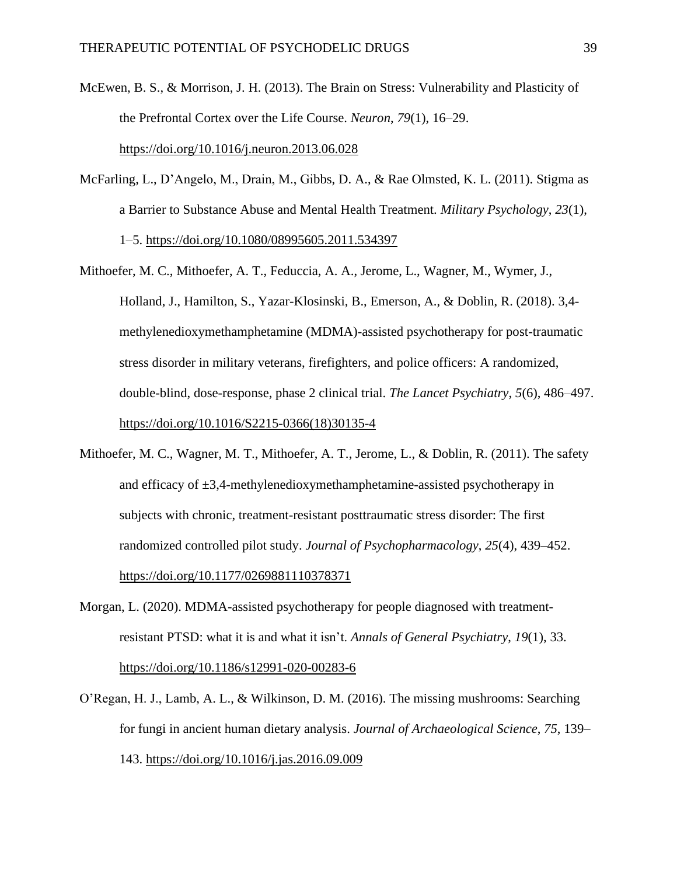- McEwen, B. S., & Morrison, J. H. (2013). The Brain on Stress: Vulnerability and Plasticity of the Prefrontal Cortex over the Life Course. *Neuron*, *79*(1), 16–29[.](https://doi.org/10.1016/j.neuron.2013.06.028) <https://doi.org/10.1016/j.neuron.2013.06.028>
- McFarling, L., D'Angelo, M., Drain, M., Gibbs, D. A., & Rae Olmsted, K. L. (2011). Stigma as a Barrier to Substance Abuse and Mental Health Treatment. *Military Psychology*, *23*(1), 1–5[.](https://doi.org/10.1080/08995605.2011.534397) <https://doi.org/10.1080/08995605.2011.534397>
- Mithoefer, M. C., Mithoefer, A. T., Feduccia, A. A., Jerome, L., Wagner, M., Wymer, J., Holland, J., Hamilton, S., Yazar-Klosinski, B., Emerson, A., & Doblin, R. (2018). 3,4 methylenedioxymethamphetamine (MDMA)-assisted psychotherapy for post-traumatic stress disorder in military veterans, firefighters, and police officers: A randomized, double-blind, dose-response, phase 2 clinical trial. *The Lancet Psychiatry*, *5*(6), 486–497[.](https://doi.org/10.1016/S2215-0366(18)30135-4) [https://doi.org/10.1016/S2215-0366\(18\)30135-4](https://doi.org/10.1016/S2215-0366(18)30135-4)
- Mithoefer, M. C., Wagner, M. T., Mithoefer, A. T., Jerome, L., & Doblin, R. (2011). The safety and efficacy of  $\pm 3,4$ -methylenedioxymethamphetamine-assisted psychotherapy in subjects with chronic, treatment-resistant posttraumatic stress disorder: The first randomized controlled pilot study. *Journal of Psychopharmacology*, *25*(4), 439–452[.](https://doi.org/10.1177/0269881110378371) <https://doi.org/10.1177/0269881110378371>
- Morgan, L. (2020). MDMA-assisted psychotherapy for people diagnosed with treatmentresistant PTSD: what it is and what it isn't. *Annals of General Psychiatry*, *19*(1), 33[.](https://doi.org/10.1186/s12991-020-00283-6) <https://doi.org/10.1186/s12991-020-00283-6>
- O'Regan, H. J., Lamb, A. L., & Wilkinson, D. M. (2016). The missing mushrooms: Searching for fungi in ancient human dietary analysis. *Journal of Archaeological Science*, *75*, 139– 143[.](https://doi.org/10.1016/j.jas.2016.09.009) <https://doi.org/10.1016/j.jas.2016.09.009>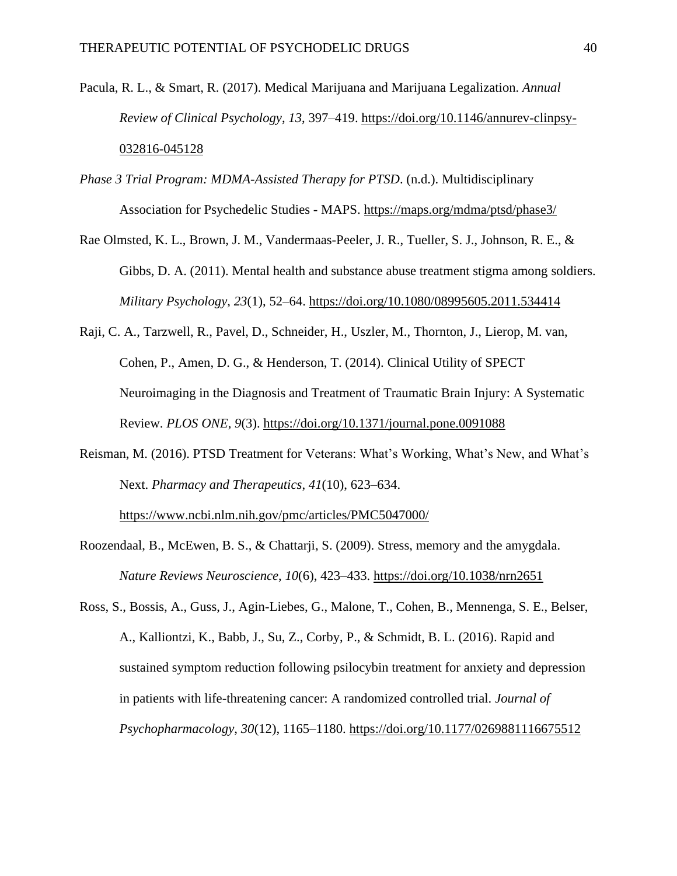- Pacula, R. L., & Smart, R. (2017). Medical Marijuana and Marijuana Legalization. *Annual Review of Clinical Psychology*, *13*, 397–419[.](https://doi.org/10.1146/annurev-clinpsy-032816-045128) [https://doi.org/10.1146/annurev-clinpsy-](https://doi.org/10.1146/annurev-clinpsy-032816-045128)[032816-045128](https://doi.org/10.1146/annurev-clinpsy-032816-045128)
- *Phase 3 Trial Program: MDMA-Assisted Therapy for PTSD*. (n.d.). Multidisciplinary Association for Psychedelic Studies - MAPS[.](https://maps.org/mdma/ptsd/phase3/) <https://maps.org/mdma/ptsd/phase3/>
- Rae Olmsted, K. L., Brown, J. M., Vandermaas-Peeler, J. R., Tueller, S. J., Johnson, R. E., & Gibbs, D. A. (2011). Mental health and substance abuse treatment stigma among soldiers. *Military Psychology*, *23*(1), 52–64[.](https://doi.org/10.1080/08995605.2011.534414) <https://doi.org/10.1080/08995605.2011.534414>
- Raji, C. A., Tarzwell, R., Pavel, D., Schneider, H., Uszler, M., Thornton, J., Lierop, M. van, Cohen, P., Amen, D. G., & Henderson, T. (2014). Clinical Utility of SPECT Neuroimaging in the Diagnosis and Treatment of Traumatic Brain Injury: A Systematic Review. *PLOS ONE*, *9*(3). <https://doi.org/10.1371/journal.pone.0091088>
- Reisman, M. (2016). PTSD Treatment for Veterans: What's Working, What's New, and What's Next. *Pharmacy and Therapeutics*, *41*(10), 623–634.

<https://www.ncbi.nlm.nih.gov/pmc/articles/PMC5047000/>

- Roozendaal, B., McEwen, B. S., & Chattarji, S. (2009). Stress, memory and the amygdala. *Nature Reviews Neuroscience*, *10*(6), 423–433. <https://doi.org/10.1038/nrn2651>
- Ross, S., Bossis, A., Guss, J., Agin-Liebes, G., Malone, T., Cohen, B., Mennenga, S. E., Belser, A., Kalliontzi, K., Babb, J., Su, Z., Corby, P., & Schmidt, B. L. (2016). Rapid and sustained symptom reduction following psilocybin treatment for anxiety and depression in patients with life-threatening cancer: A randomized controlled trial. *Journal of Psychopharmacology*, *30*(12), 1165–1180[.](https://doi.org/10.1177/0269881116675512) <https://doi.org/10.1177/0269881116675512>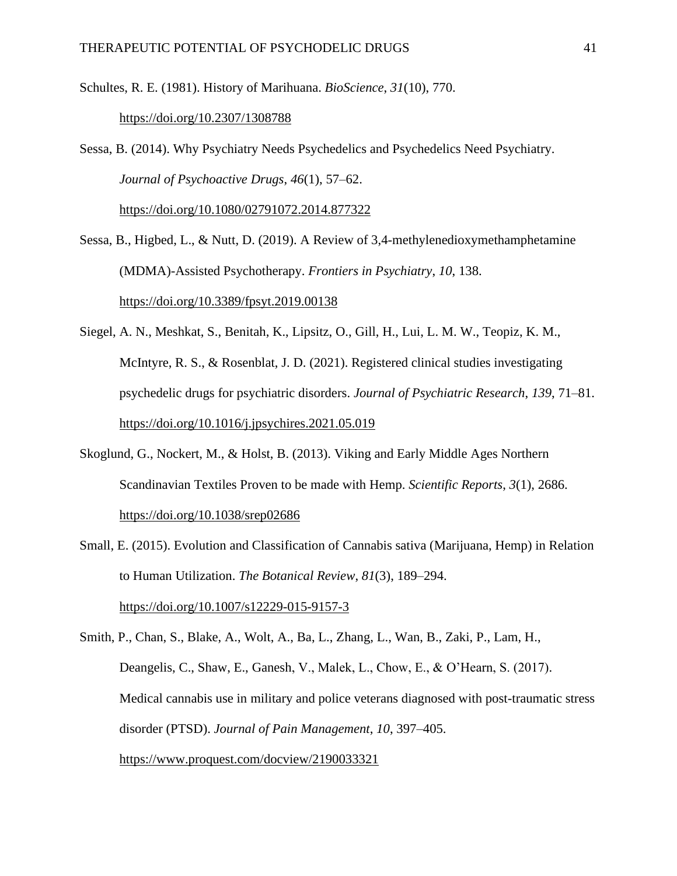Schultes, R. E. (1981). History of Marihuana. *BioScience*, *31*(10), 770[.](https://doi.org/10.2307/1308788)

#### <https://doi.org/10.2307/1308788>

Sessa, B. (2014). Why Psychiatry Needs Psychedelics and Psychedelics Need Psychiatry. *Journal of Psychoactive Drugs*, *46*(1), 57–62[.](https://doi.org/10.1080/02791072.2014.877322)

<https://doi.org/10.1080/02791072.2014.877322>

Sessa, B., Higbed, L., & Nutt, D. (2019). A Review of 3,4-methylenedioxymethamphetamine (MDMA)-Assisted Psychotherapy. *Frontiers in Psychiatry*, *10*, 138[.](https://doi.org/10.3389/fpsyt.2019.00138) <https://doi.org/10.3389/fpsyt.2019.00138>

- Siegel, A. N., Meshkat, S., Benitah, K., Lipsitz, O., Gill, H., Lui, L. M. W., Teopiz, K. M., McIntyre, R. S., & Rosenblat, J. D. (2021). Registered clinical studies investigating psychedelic drugs for psychiatric disorders. *Journal of Psychiatric Research*, *139*, 71–81[.](https://doi.org/10.1016/j.jpsychires.2021.05.019) <https://doi.org/10.1016/j.jpsychires.2021.05.019>
- Skoglund, G., Nockert, M., & Holst, B. (2013). Viking and Early Middle Ages Northern Scandinavian Textiles Proven to be made with Hemp. *Scientific Reports*, *3*(1), 2686[.](https://doi.org/10.1038/srep02686) <https://doi.org/10.1038/srep02686>
- Small, E. (2015). Evolution and Classification of Cannabis sativa (Marijuana, Hemp) in Relation to Human Utilization. *The Botanical Review*, *81*(3), 189–294[.](https://doi.org/10.1007/s12229-015-9157-3)

<https://doi.org/10.1007/s12229-015-9157-3>

Smith, P., Chan, S., Blake, A., Wolt, A., Ba, L., Zhang, L., Wan, B., Zaki, P., Lam, H., Deangelis, C., Shaw, E., Ganesh, V., Malek, L., Chow, E., & O'Hearn, S. (2017). Medical cannabis use in military and police veterans diagnosed with post-traumatic stress disorder (PTSD). *Journal of Pain Management*, *10*, 397–405. <https://www.proquest.com/docview/2190033321>